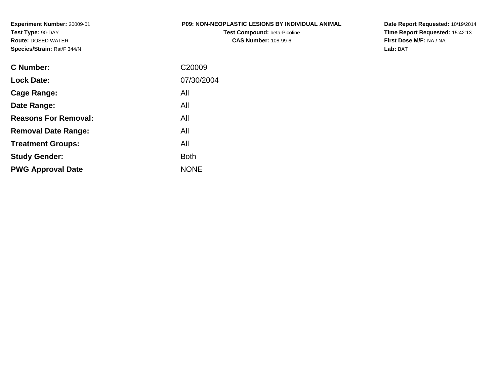**Experiment Number:** 20009-01**Test Type:** 90-DAY **Route:** DOSED WATER**Species/Strain:** Rat/F 344/N

#### **P09: NON-NEOPLASTIC LESIONS BY INDIVIDUAL ANIMAL**

**Test Compound:** beta-Picoline**CAS Number:** 108-99-6

**Date Report Requested:** 10/19/2014 **Time Report Requested:** 15:42:13**First Dose M/F:** NA / NA**Lab:** BAT

| C Number:                   | C <sub>20009</sub> |
|-----------------------------|--------------------|
| <b>Lock Date:</b>           | 07/30/2004         |
| Cage Range:                 | All                |
| Date Range:                 | All                |
| <b>Reasons For Removal:</b> | All                |
| <b>Removal Date Range:</b>  | All                |
| <b>Treatment Groups:</b>    | All                |
| <b>Study Gender:</b>        | <b>Both</b>        |
| <b>PWG Approval Date</b>    | <b>NONE</b>        |
|                             |                    |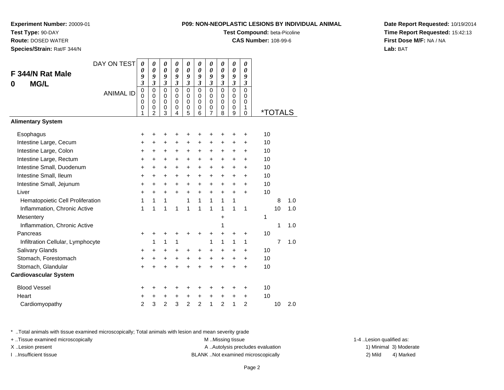**Experiment Number:** 20009-01

**Test Type:** 90-DAY

**Route:** DOSED WATER

**Species/Strain:** Rat/F 344/N

# **Test Compound:** beta-Picoline

**CAS Number:** 108-99-6

**Date Report Requested:** 10/19/2014**Time Report Requested:** 15:42:13**First Dose M/F:** NA / NA**Lab:** BAT

|                                   | DAY ON TEST      | 0                                         | 0                                                      | 0                               | 0                                         | 0                               | 0                                         | 0                       | 0                                      | 0                                         | 0                                      |    |                       |     |
|-----------------------------------|------------------|-------------------------------------------|--------------------------------------------------------|---------------------------------|-------------------------------------------|---------------------------------|-------------------------------------------|-------------------------|----------------------------------------|-------------------------------------------|----------------------------------------|----|-----------------------|-----|
| F 344/N Rat Male                  |                  | 0<br>9                                    | $\boldsymbol{\theta}$<br>9                             | 0<br>9                          | $\boldsymbol{\theta}$<br>9                | 0<br>9                          | 0<br>9                                    | 0<br>9                  | 0<br>9                                 | 0<br>9                                    | 0<br>9                                 |    |                       |     |
| <b>MG/L</b><br>0                  |                  | $\boldsymbol{\mathfrak{z}}$               | $\mathfrak{z}$                                         | $\boldsymbol{\mathfrak{z}}$     | $\mathfrak{z}$                            | $\overline{\mathbf{3}}$         | $\overline{\mathbf{3}}$                   | $\overline{\mathbf{3}}$ | $\overline{3}$                         | $\mathfrak{z}$                            | $\mathfrak{z}$                         |    |                       |     |
|                                   | <b>ANIMAL ID</b> | $\mathbf 0$<br>0<br>$\mathbf 0$<br>0<br>1 | $\mathbf 0$<br>$\mathbf 0$<br>0<br>0<br>$\mathfrak{p}$ | $\mathbf 0$<br>0<br>0<br>0<br>3 | $\mathbf 0$<br>$\mathbf 0$<br>0<br>0<br>4 | $\mathbf 0$<br>0<br>0<br>0<br>5 | $\mathbf 0$<br>$\mathbf 0$<br>0<br>0<br>6 | 0<br>0<br>0<br>0<br>7   | $\Omega$<br>$\mathbf 0$<br>0<br>0<br>8 | $\mathbf 0$<br>0<br>$\mathbf 0$<br>0<br>9 | $\mathbf 0$<br>0<br>0<br>1<br>$\Omega$ |    | <i><b>*TOTALS</b></i> |     |
| <b>Alimentary System</b>          |                  |                                           |                                                        |                                 |                                           |                                 |                                           |                         |                                        |                                           |                                        |    |                       |     |
| Esophagus                         |                  | +                                         | +                                                      | +                               | ٠                                         | +                               | ٠                                         | +                       | ٠                                      | +                                         | ٠                                      | 10 |                       |     |
| Intestine Large, Cecum            |                  | +                                         | +                                                      | +                               | $\ddot{}$                                 | $\pm$                           | +                                         | $\pm$                   | +                                      | +                                         | +                                      | 10 |                       |     |
| Intestine Large, Colon            |                  | +                                         | +                                                      | +                               | $\ddot{}$                                 | +                               | $\ddot{}$                                 | +                       | +                                      | +                                         | $\ddot{}$                              | 10 |                       |     |
| Intestine Large, Rectum           |                  | $\ddot{}$                                 | +                                                      | +                               | $\ddot{}$                                 | $\pm$                           | $\ddot{}$                                 | +                       | +                                      | +                                         | $\ddot{}$                              | 10 |                       |     |
| Intestine Small, Duodenum         |                  | +                                         | +                                                      | +                               | +                                         | +                               | +                                         | +                       | +                                      | +                                         | +                                      | 10 |                       |     |
| Intestine Small, Ileum            |                  | $\ddot{}$                                 | $\ddot{}$                                              | $\ddot{}$                       | $\ddot{}$                                 | $\ddot{}$                       | $\ddot{}$                                 | $\ddot{}$               | $\ddot{}$                              | $\ddot{}$                                 | $\ddot{}$                              | 10 |                       |     |
| Intestine Small, Jejunum          |                  | $\ddot{}$                                 | $\ddot{}$                                              | $\ddot{}$                       | $\ddot{}$                                 | $\ddot{}$                       | $\ddot{}$                                 | $\ddot{}$               | +                                      | $\ddot{}$                                 | $\ddot{}$                              | 10 |                       |     |
| Liver                             |                  | $\ddot{}$                                 | $\pm$                                                  | +                               | $\ddot{}$                                 | +                               | $\ddot{}$                                 | +                       | $\ddot{}$                              | $\ddot{}$                                 | $\ddot{}$                              | 10 |                       |     |
| Hematopoietic Cell Proliferation  |                  | 1                                         | 1                                                      | 1                               |                                           | 1                               | 1                                         | 1                       | 1                                      | 1                                         |                                        |    | 8                     | 1.0 |
| Inflammation, Chronic Active      |                  | 1                                         | 1                                                      | 1                               | 1                                         | 1                               | 1                                         | 1                       | 1                                      | 1                                         | 1                                      |    | 10                    | 1.0 |
| Mesentery                         |                  |                                           |                                                        |                                 |                                           |                                 |                                           |                         | +                                      |                                           |                                        | 1  |                       |     |
| Inflammation, Chronic Active      |                  |                                           |                                                        |                                 |                                           |                                 |                                           |                         | 1                                      |                                           |                                        |    | 1                     | 1.0 |
| Pancreas                          |                  | +                                         | +                                                      | +                               | +                                         | +                               | +                                         | +                       | +                                      | +                                         | +                                      | 10 |                       |     |
| Infiltration Cellular, Lymphocyte |                  |                                           | 1                                                      | 1                               | 1                                         |                                 |                                           | 1                       | 1                                      | 1                                         | 1                                      |    | $\overline{7}$        | 1.0 |
| Salivary Glands                   |                  | +                                         | $\pm$                                                  | +                               | $\ddot{}$                                 | +                               | +                                         | +                       | +                                      | +                                         | +                                      | 10 |                       |     |
| Stomach, Forestomach              |                  | +                                         | +                                                      | +                               | $\ddot{}$                                 | +                               | $\ddot{}$                                 | +                       | $\ddot{}$                              | +                                         | +                                      | 10 |                       |     |
| Stomach, Glandular                |                  | $\ddot{}$                                 |                                                        | $\ddot{}$                       |                                           | $\ddot{}$                       |                                           | $\ddot{}$               |                                        | $\ddot{}$                                 | $\ddot{}$                              | 10 |                       |     |
| <b>Cardiovascular System</b>      |                  |                                           |                                                        |                                 |                                           |                                 |                                           |                         |                                        |                                           |                                        |    |                       |     |
| <b>Blood Vessel</b>               |                  | +                                         | +                                                      | +                               | +                                         | +                               | +                                         | +                       | ٠                                      | +                                         | +                                      | 10 |                       |     |
| Heart                             |                  | +                                         | +                                                      | +                               | +                                         | +                               | +                                         | +                       | +                                      | +                                         | +                                      | 10 |                       |     |
| Cardiomyopathy                    |                  | $\overline{2}$                            | 3                                                      | $\overline{2}$                  | 3                                         | $\overline{2}$                  | $\overline{2}$                            | 1                       | $\overline{2}$                         | 1                                         | $\overline{2}$                         |    | 10                    | 2.0 |

\* ..Total animals with tissue examined microscopically; Total animals with lesion and mean severity grade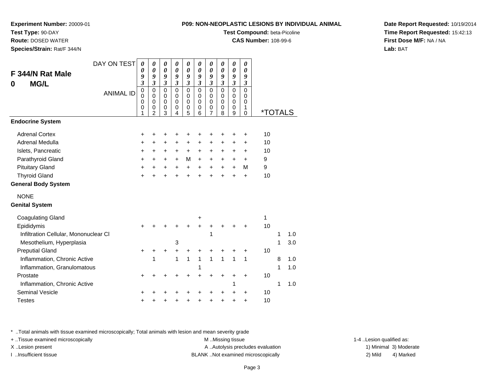**Test Compound:** beta-Picoline

**CAS Number:** 108-99-6

**Date Report Requested:** 10/19/2014**Time Report Requested:** 15:42:13**First Dose M/F:** NA / NA**Lab:** BAT

| DAY ON TEST<br>F 344/N Rat Male       | $\boldsymbol{\theta}$<br>0<br>9<br>$\overline{\mathbf{3}}$ | $\boldsymbol{\theta}$<br>$\boldsymbol{\theta}$<br>9<br>$\mathfrak{z}$ | $\boldsymbol{\theta}$<br>$\pmb{\theta}$<br>9<br>$\mathfrak{z}$ | 0<br>$\boldsymbol{\theta}$<br>9<br>$\mathfrak{z}$   | $\boldsymbol{\theta}$<br>$\boldsymbol{\theta}$<br>9<br>$\mathfrak{z}$ | 0<br>$\boldsymbol{\theta}$<br>9<br>$\mathfrak{z}$ | $\boldsymbol{\theta}$<br>$\boldsymbol{\theta}$<br>9<br>$\mathfrak{z}$ | 0<br>$\boldsymbol{\theta}$<br>9<br>$\mathfrak{z}$   | $\pmb{\theta}$<br>$\pmb{\theta}$<br>9<br>$\overline{\mathbf{3}}$                | 0<br>$\boldsymbol{\theta}$<br>9<br>$\mathfrak{z}$ |                       |   |     |
|---------------------------------------|------------------------------------------------------------|-----------------------------------------------------------------------|----------------------------------------------------------------|-----------------------------------------------------|-----------------------------------------------------------------------|---------------------------------------------------|-----------------------------------------------------------------------|-----------------------------------------------------|---------------------------------------------------------------------------------|---------------------------------------------------|-----------------------|---|-----|
| <b>MG/L</b><br>0<br><b>ANIMAL ID</b>  | $\pmb{0}$<br>$\mathbf 0$<br>$\mathbf 0$<br>0<br>1          | $\pmb{0}$<br>$\mathbf 0$<br>$\mathbf 0$<br>0<br>$\overline{2}$        | $\pmb{0}$<br>0<br>$\mathbf 0$<br>0<br>3                        | $\mathbf 0$<br>$\mathbf 0$<br>$\mathbf 0$<br>0<br>4 | $\pmb{0}$<br>$\pmb{0}$<br>$\pmb{0}$<br>$\pmb{0}$<br>5                 | $\pmb{0}$<br>0<br>$\mathbf 0$<br>0<br>6           | $\pmb{0}$<br>$\mathbf 0$<br>$\pmb{0}$<br>0<br>$\overline{7}$          | $\mathbf 0$<br>$\mathbf 0$<br>$\mathbf 0$<br>0<br>8 | $\pmb{0}$<br>$\mathbf 0$<br>$\mathbf 0$<br>$\boldsymbol{0}$<br>$\boldsymbol{9}$ | $\Omega$<br>$\Omega$<br>0<br>1<br>$\Omega$        | <i><b>*TOTALS</b></i> |   |     |
| <b>Endocrine System</b>               |                                                            |                                                                       |                                                                |                                                     |                                                                       |                                                   |                                                                       |                                                     |                                                                                 |                                                   |                       |   |     |
| <b>Adrenal Cortex</b>                 | +                                                          | +                                                                     | +                                                              | +                                                   | +                                                                     |                                                   | +                                                                     |                                                     | +                                                                               | +                                                 | 10                    |   |     |
| Adrenal Medulla                       | +                                                          | +                                                                     | $\ddot{}$                                                      | +                                                   | $\ddot{}$                                                             | +                                                 | +                                                                     | +                                                   | +                                                                               | +                                                 | 10                    |   |     |
| Islets, Pancreatic                    | +                                                          | +                                                                     | $\ddot{}$                                                      | $\ddot{}$                                           | $\ddot{}$                                                             | $\ddot{}$                                         | $\ddot{}$                                                             | +                                                   | +                                                                               | +                                                 | 10                    |   |     |
| Parathyroid Gland                     | +                                                          | +                                                                     | $\ddot{}$                                                      | $\ddot{}$                                           | M                                                                     | $+$                                               | $\ddot{}$                                                             | $\ddot{}$                                           | $\ddot{}$                                                                       | $+$                                               | 9                     |   |     |
| <b>Pituitary Gland</b>                | +                                                          | +                                                                     | +                                                              | $\ddot{}$                                           | $\ddot{}$                                                             | $+$                                               | $\ddot{}$                                                             | $\ddot{}$                                           | $\ddot{}$                                                                       | M                                                 | 9                     |   |     |
| <b>Thyroid Gland</b>                  | +                                                          |                                                                       |                                                                |                                                     |                                                                       |                                                   |                                                                       |                                                     | $\ddot{}$                                                                       | $\ddot{}$                                         | 10                    |   |     |
| <b>General Body System</b>            |                                                            |                                                                       |                                                                |                                                     |                                                                       |                                                   |                                                                       |                                                     |                                                                                 |                                                   |                       |   |     |
| <b>NONE</b>                           |                                                            |                                                                       |                                                                |                                                     |                                                                       |                                                   |                                                                       |                                                     |                                                                                 |                                                   |                       |   |     |
| <b>Genital System</b>                 |                                                            |                                                                       |                                                                |                                                     |                                                                       |                                                   |                                                                       |                                                     |                                                                                 |                                                   |                       |   |     |
| <b>Coagulating Gland</b>              |                                                            |                                                                       |                                                                |                                                     |                                                                       | +                                                 |                                                                       |                                                     |                                                                                 |                                                   | 1                     |   |     |
| Epididymis                            | $\ddot{}$                                                  |                                                                       |                                                                |                                                     |                                                                       |                                                   | +                                                                     |                                                     |                                                                                 | +                                                 | 10                    |   |     |
| Infiltration Cellular, Mononuclear CI |                                                            |                                                                       |                                                                |                                                     |                                                                       |                                                   | 1                                                                     |                                                     |                                                                                 |                                                   |                       | 1 | 1.0 |
| Mesothelium, Hyperplasia              |                                                            |                                                                       |                                                                | 3                                                   |                                                                       |                                                   |                                                                       |                                                     |                                                                                 |                                                   |                       | 1 | 3.0 |
| <b>Preputial Gland</b>                | +                                                          | +                                                                     | +                                                              | +                                                   | +                                                                     |                                                   | +                                                                     |                                                     |                                                                                 | +                                                 | 10                    |   |     |
| Inflammation, Chronic Active          |                                                            | 1                                                                     |                                                                | 1                                                   | $\mathbf{1}$                                                          | $\mathbf{1}$                                      | $\overline{1}$                                                        | 1                                                   | 1                                                                               | 1                                                 |                       | 8 | 1.0 |
| Inflammation, Granulomatous           |                                                            |                                                                       |                                                                |                                                     |                                                                       | 1                                                 |                                                                       |                                                     |                                                                                 |                                                   |                       | 1 | 1.0 |
| Prostate                              | +                                                          |                                                                       |                                                                |                                                     |                                                                       |                                                   | +                                                                     |                                                     | +                                                                               | +                                                 | 10                    |   |     |
| Inflammation, Chronic Active          |                                                            |                                                                       |                                                                |                                                     |                                                                       |                                                   |                                                                       |                                                     | 1                                                                               |                                                   |                       | 1 | 1.0 |
| <b>Seminal Vesicle</b>                | +                                                          |                                                                       |                                                                |                                                     |                                                                       |                                                   |                                                                       |                                                     |                                                                                 | ٠                                                 | 10                    |   |     |
| <b>Testes</b>                         | +                                                          |                                                                       |                                                                |                                                     |                                                                       |                                                   |                                                                       |                                                     |                                                                                 | $\ddot{}$                                         | 10                    |   |     |

\* ..Total animals with tissue examined microscopically; Total animals with lesion and mean severity grade

**Experiment Number:** 20009-01

**Test Type:** 90-DAY **Route:** DOSED WATER**Species/Strain:** Rat/F 344/N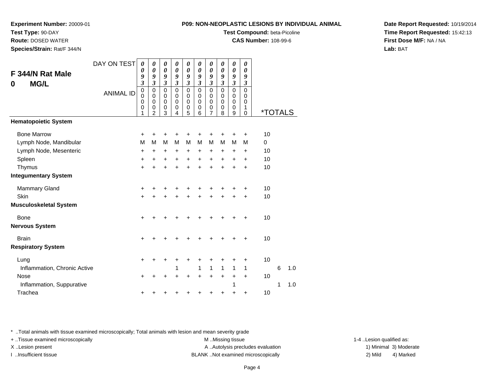**Experiment Number:** 20009-01

**Test Type:** 90-DAY

**Route:** DOSED WATER

**Species/Strain:** Rat/F 344/N

# **Test Compound:** beta-Picoline

**CAS Number:** 108-99-6

**Date Report Requested:** 10/19/2014**Time Report Requested:** 15:42:13**First Dose M/F:** NA / NA**Lab:** BAT

| F 344/N Rat Male<br><b>MG/L</b><br>0                                             | DAY ON TEST<br><b>ANIMAL ID</b> | 0<br>0<br>9<br>$\overline{\mathbf{3}}$<br>$\mathbf 0$<br>$\mathbf 0$<br>0<br>0<br>1 | 0<br>0<br>9<br>$\mathfrak{z}$<br>$\mathbf 0$<br>$\mathbf 0$<br>$\mathbf 0$<br>0<br>$\overline{2}$ | 0<br>$\boldsymbol{\theta}$<br>9<br>$\boldsymbol{\mathfrak{z}}$<br>$\mathbf 0$<br>0<br>0<br>$\boldsymbol{0}$<br>3 | 0<br>$\boldsymbol{\theta}$<br>9<br>$\mathfrak{z}$<br>$\mathbf 0$<br>$\mathbf 0$<br>$\Omega$<br>0<br>4 | 0<br>$\boldsymbol{\theta}$<br>9<br>$\mathfrak{z}$<br>$\mathbf 0$<br>$\pmb{0}$<br>0<br>$\pmb{0}$<br>5 | $\boldsymbol{\theta}$<br>0<br>9<br>$\mathfrak{z}$<br>$\mathbf 0$<br>$\mathbf 0$<br>0<br>0<br>6 | 0<br>$\boldsymbol{\theta}$<br>9<br>$\mathfrak{z}$<br>$\mathsf 0$<br>0<br>0<br>$\frac{0}{7}$ | 0<br>$\pmb{\theta}$<br>9<br>3<br>$\mathbf 0$<br>$\mathbf 0$<br>0<br>0<br>8 | 0<br>$\boldsymbol{\theta}$<br>9<br>$\overline{\mathbf{3}}$<br>0<br>0<br>0<br>0 | 0<br>$\boldsymbol{\theta}$<br>9<br>$\mathfrak{z}$<br>$\mathbf 0$<br>$\mathbf 0$<br>0<br>1<br>$\Omega$ | <i><b>*TOTALS</b></i> |   |     |
|----------------------------------------------------------------------------------|---------------------------------|-------------------------------------------------------------------------------------|---------------------------------------------------------------------------------------------------|------------------------------------------------------------------------------------------------------------------|-------------------------------------------------------------------------------------------------------|------------------------------------------------------------------------------------------------------|------------------------------------------------------------------------------------------------|---------------------------------------------------------------------------------------------|----------------------------------------------------------------------------|--------------------------------------------------------------------------------|-------------------------------------------------------------------------------------------------------|-----------------------|---|-----|
| <b>Hematopoietic System</b>                                                      |                                 |                                                                                     |                                                                                                   |                                                                                                                  |                                                                                                       |                                                                                                      |                                                                                                |                                                                                             |                                                                            | 9                                                                              |                                                                                                       |                       |   |     |
| <b>Bone Marrow</b><br>Lymph Node, Mandibular<br>Lymph Node, Mesenteric<br>Spleen |                                 | $\ddot{}$<br>M<br>+<br>$\ddot{}$                                                    | +<br>M<br>+<br>+                                                                                  | +<br>М<br>+<br>+                                                                                                 | +<br>M<br>+<br>+                                                                                      | +<br>M<br>+<br>$\ddot{}$                                                                             | +<br>M<br>$\ddot{}$<br>$\ddot{}$                                                               | +<br>M<br>+<br>+                                                                            | ٠<br>м<br>$\ddot{}$<br>+                                                   | +<br>М<br>+<br>+                                                               | $\ddot{}$<br>M<br>$\ddot{}$<br>$\ddot{}$                                                              | 10<br>0<br>10<br>10   |   |     |
| Thymus                                                                           |                                 | +                                                                                   |                                                                                                   | $\ddot{}$                                                                                                        | $\ddot{}$                                                                                             | $\ddot{}$                                                                                            | $\ddot{}$                                                                                      | $\ddot{}$                                                                                   | $\ddot{}$                                                                  | $\ddot{}$                                                                      | $\ddot{}$                                                                                             | 10                    |   |     |
| <b>Integumentary System</b>                                                      |                                 |                                                                                     |                                                                                                   |                                                                                                                  |                                                                                                       |                                                                                                      |                                                                                                |                                                                                             |                                                                            |                                                                                |                                                                                                       |                       |   |     |
| <b>Mammary Gland</b><br>Skin                                                     |                                 | +<br>$\ddot{}$                                                                      |                                                                                                   | +                                                                                                                | +                                                                                                     | +<br>$\ddot{}$                                                                                       | +                                                                                              | +<br>+                                                                                      | +<br>+                                                                     | +                                                                              | +<br>$\ddot{}$                                                                                        | 10<br>10              |   |     |
| <b>Musculoskeletal System</b>                                                    |                                 |                                                                                     |                                                                                                   |                                                                                                                  |                                                                                                       |                                                                                                      |                                                                                                |                                                                                             |                                                                            |                                                                                |                                                                                                       |                       |   |     |
| <b>Bone</b><br><b>Nervous System</b>                                             |                                 | $\ddot{}$                                                                           |                                                                                                   |                                                                                                                  |                                                                                                       | +                                                                                                    |                                                                                                |                                                                                             |                                                                            |                                                                                | $\ddot{}$                                                                                             | 10                    |   |     |
| <b>Brain</b><br><b>Respiratory System</b>                                        |                                 | $\ddot{}$                                                                           | +                                                                                                 | +                                                                                                                | +                                                                                                     | ٠                                                                                                    | +                                                                                              | ٠                                                                                           | +                                                                          | +                                                                              | $\ddot{}$                                                                                             | 10                    |   |     |
| Lung<br>Inflammation, Chronic Active                                             |                                 | +                                                                                   |                                                                                                   | +                                                                                                                | +<br>1                                                                                                | +                                                                                                    | +<br>1                                                                                         | +<br>1                                                                                      | +<br>1                                                                     | +<br>1                                                                         | $\ddot{}$<br>1                                                                                        | 10                    | 6 | 1.0 |
| Nose<br>Inflammation, Suppurative                                                |                                 | +                                                                                   |                                                                                                   |                                                                                                                  |                                                                                                       | +                                                                                                    | +                                                                                              | $\ddot{}$                                                                                   | $\ddot{}$                                                                  | +<br>1                                                                         | $\ddot{}$                                                                                             | 10                    | 1 | 1.0 |
| Trachea                                                                          |                                 | +                                                                                   |                                                                                                   |                                                                                                                  | +                                                                                                     | +                                                                                                    |                                                                                                | +                                                                                           | +                                                                          | +                                                                              | +                                                                                                     | 10                    |   |     |

\* ..Total animals with tissue examined microscopically; Total animals with lesion and mean severity grade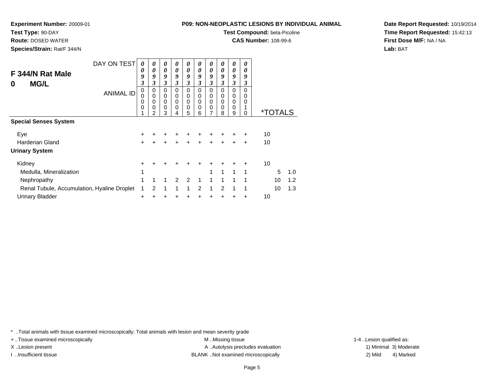**Experiment Number:** 20009-01

**Test Type:** 90-DAY

**Route:** DOSED WATER

**Species/Strain:** Rat/F 344/N

**Test Compound:** beta-Picoline

**CAS Number:** 108-99-6

**Date Report Requested:** 10/19/2014**Time Report Requested:** 15:42:13**First Dose M/F:** NA / NA**Lab:** BAT

| F 344/N Rat Male<br><b>MG/L</b><br>0        | DAY ON TEST      | 0<br>0<br>9<br>3 | 0<br>0<br>9<br>3      | $\boldsymbol{\theta}$<br>0<br>9<br>3 | 0<br>0<br>9<br>3                | $\boldsymbol{\theta}$<br>$\boldsymbol{\theta}$<br>9<br>3 | 0<br>$\boldsymbol{\theta}$<br>9<br>3                | $\boldsymbol{\theta}$<br>$\boldsymbol{\theta}$<br>9<br>3 | 0<br>0<br>9<br>3                       | 0<br>$\boldsymbol{\theta}$<br>9<br>3 | 0<br>0<br>9<br>3                      |    |                       |     |
|---------------------------------------------|------------------|------------------|-----------------------|--------------------------------------|---------------------------------|----------------------------------------------------------|-----------------------------------------------------|----------------------------------------------------------|----------------------------------------|--------------------------------------|---------------------------------------|----|-----------------------|-----|
|                                             | <b>ANIMAL ID</b> | 0<br>0<br>0<br>0 | 0<br>0<br>0<br>0<br>2 | $\Omega$<br>0<br>0<br>0<br>3         | $\mathbf 0$<br>0<br>0<br>0<br>4 | $\Omega$<br>0<br>$\mathbf 0$<br>0<br>5                   | $\mathbf 0$<br>0<br>$\mathbf 0$<br>$\mathbf 0$<br>6 | $\Omega$<br>0<br>$\mathbf 0$<br>0<br>7                   | $\Omega$<br>0<br>$\mathbf 0$<br>0<br>8 | $\Omega$<br>0<br>0<br>0<br>9         | $\Omega$<br>$\Omega$<br>0<br>$\Omega$ |    | <i><b>*TOTALS</b></i> |     |
| <b>Special Senses System</b>                |                  |                  |                       |                                      |                                 |                                                          |                                                     |                                                          |                                        |                                      |                                       |    |                       |     |
| Eye                                         |                  | $\pm$            |                       | +                                    | +                               | ٠                                                        | +                                                   | ٠                                                        |                                        |                                      | ÷                                     | 10 |                       |     |
| Harderian Gland                             |                  | $\ddot{}$        | $\ddot{}$             | $\ddot{}$                            | $\ddot{}$                       | $\ddot{}$                                                | $\ddot{}$                                           | $\ddot{}$                                                | $\ddot{}$                              | $\div$                               | $\div$                                | 10 |                       |     |
| <b>Urinary System</b>                       |                  |                  |                       |                                      |                                 |                                                          |                                                     |                                                          |                                        |                                      |                                       |    |                       |     |
| Kidney                                      |                  | +                |                       |                                      |                                 |                                                          |                                                     |                                                          |                                        |                                      |                                       | 10 |                       |     |
| Medulla, Mineralization                     |                  | 1                |                       |                                      |                                 |                                                          |                                                     | 1                                                        | 1                                      | 1                                    | 1                                     |    | 5                     | 1.0 |
| Nephropathy                                 |                  | 1                | 1                     |                                      | 2                               | 2                                                        | 1                                                   |                                                          | 1                                      | 1                                    | 1                                     |    | 10                    | 1.2 |
| Renal Tubule, Accumulation, Hyaline Droplet |                  | 1                | 2                     | 1                                    | 1                               | 1                                                        | 2                                                   | 1                                                        | 2                                      | 1                                    | 1                                     |    | 10                    | 1.3 |
| <b>Urinary Bladder</b>                      |                  | +                |                       |                                      |                                 | +                                                        |                                                     |                                                          |                                        |                                      | $\ddot{}$                             | 10 |                       |     |

\* ..Total animals with tissue examined microscopically; Total animals with lesion and mean severity grade

+ ..Tissue examined microscopically examined microscopically examined as:  $M$  ..Missing tissue 1-4 ..Lesion qualified as: X..Lesion present **A ..Autolysis precludes evaluation** A ..Autolysis precludes evaluation 1) Minimal 3) Moderate I ..Insufficient tissue 2) Mild and the SLANK ..Not examined microscopically and the SLANK ... Insufficient tissue

4) Marked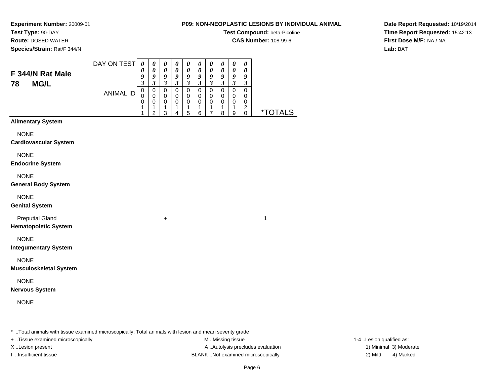**Experiment Number:** 20009-01**Test Type:** 90-DAY

**Route:** DOSED WATER

**Species/Strain:** Rat/F 344/N

# **Test Compound:** beta-Picoline

**CAS Number:** 108-99-6

**Date Report Requested:** 10/19/2014**Time Report Requested:** 15:42:13**First Dose M/F:** NA / NA**Lab:** BAT

| F 344/N Rat Male<br>78<br><b>MG/L</b>                 | DAY ON TEST      | $\boldsymbol{\theta}$<br>$\boldsymbol{\theta}$<br>9<br>$\overline{\mathbf{3}}$ | $\boldsymbol{\theta}$<br>$\boldsymbol{\theta}$<br>9<br>$\overline{\mathbf{3}}$ | $\pmb{\theta}$<br>$\pmb{\theta}$<br>$\frac{9}{3}$ | $\boldsymbol{\theta}$<br>$\boldsymbol{\theta}$<br>$\boldsymbol{9}$<br>$\overline{\mathbf{3}}$ | $\pmb{\theta}$<br>$\boldsymbol{\theta}$<br>9<br>$\overline{\mathbf{3}}$ | $\boldsymbol{\theta}$<br>$\boldsymbol{\theta}$<br>9<br>$\overline{\mathbf{3}}$ | $\pmb{\theta}$<br>0<br>9<br>$\overline{\mathbf{3}}$                   | $\pmb{\theta}$<br>$\boldsymbol{\theta}$<br>9<br>$\overline{\mathbf{3}}$ | $\pmb{\theta}$<br>$\boldsymbol{\theta}$<br>9<br>$\overline{\mathbf{3}}$ | $\pmb{\theta}$<br>0<br>$\boldsymbol{9}$<br>$\mathfrak{z}$ |              |
|-------------------------------------------------------|------------------|--------------------------------------------------------------------------------|--------------------------------------------------------------------------------|---------------------------------------------------|-----------------------------------------------------------------------------------------------|-------------------------------------------------------------------------|--------------------------------------------------------------------------------|-----------------------------------------------------------------------|-------------------------------------------------------------------------|-------------------------------------------------------------------------|-----------------------------------------------------------|--------------|
|                                                       | <b>ANIMAL ID</b> | $\pmb{0}$<br>$\mathbf 0$<br>$\pmb{0}$<br>1<br>1                                | $\pmb{0}$<br>$\mathbf 0$<br>$\pmb{0}$<br>$\mathbf{1}$<br>$\overline{c}$        | $\pmb{0}$<br>0<br>$\pmb{0}$<br>$\mathbf{1}$<br>3  | $\pmb{0}$<br>$\mathbf 0$<br>$\mathbf 0$<br>1<br>4                                             | $\mathbf 0$<br>$\pmb{0}$<br>$\mathbf 0$<br>$\mathbf{1}$<br>5            | $\pmb{0}$<br>$\mathbf 0$<br>$\mathbf 0$<br>$\mathbf{1}$<br>6                   | $\mathsf 0$<br>$\mathbf 0$<br>$\boldsymbol{0}$<br>1<br>$\overline{7}$ | $\mathbf 0$<br>$\mathbf 0$<br>$\pmb{0}$<br>1<br>8                       | $\mathbf 0$<br>$\pmb{0}$<br>$\pmb{0}$<br>1<br>$\boldsymbol{9}$          | $\pmb{0}$<br>0<br>$\pmb{0}$<br>$\overline{2}$<br>0        | *TOTALS      |
| <b>Alimentary System</b>                              |                  |                                                                                |                                                                                |                                                   |                                                                                               |                                                                         |                                                                                |                                                                       |                                                                         |                                                                         |                                                           |              |
| <b>NONE</b><br><b>Cardiovascular System</b>           |                  |                                                                                |                                                                                |                                                   |                                                                                               |                                                                         |                                                                                |                                                                       |                                                                         |                                                                         |                                                           |              |
| <b>NONE</b><br><b>Endocrine System</b>                |                  |                                                                                |                                                                                |                                                   |                                                                                               |                                                                         |                                                                                |                                                                       |                                                                         |                                                                         |                                                           |              |
| <b>NONE</b><br><b>General Body System</b>             |                  |                                                                                |                                                                                |                                                   |                                                                                               |                                                                         |                                                                                |                                                                       |                                                                         |                                                                         |                                                           |              |
| <b>NONE</b><br><b>Genital System</b>                  |                  |                                                                                |                                                                                |                                                   |                                                                                               |                                                                         |                                                                                |                                                                       |                                                                         |                                                                         |                                                           |              |
| <b>Preputial Gland</b><br><b>Hematopoietic System</b> |                  |                                                                                |                                                                                | $\ddot{}$                                         |                                                                                               |                                                                         |                                                                                |                                                                       |                                                                         |                                                                         |                                                           | $\mathbf{1}$ |
| <b>NONE</b><br><b>Integumentary System</b>            |                  |                                                                                |                                                                                |                                                   |                                                                                               |                                                                         |                                                                                |                                                                       |                                                                         |                                                                         |                                                           |              |
| <b>NONE</b><br><b>Musculoskeletal System</b>          |                  |                                                                                |                                                                                |                                                   |                                                                                               |                                                                         |                                                                                |                                                                       |                                                                         |                                                                         |                                                           |              |
| <b>NONE</b><br><b>Nervous System</b>                  |                  |                                                                                |                                                                                |                                                   |                                                                                               |                                                                         |                                                                                |                                                                       |                                                                         |                                                                         |                                                           |              |
| <b>NONE</b>                                           |                  |                                                                                |                                                                                |                                                   |                                                                                               |                                                                         |                                                                                |                                                                       |                                                                         |                                                                         |                                                           |              |

\* ..Total animals with tissue examined microscopically; Total animals with lesion and mean severity grade

+ ..Tissue examined microscopically M ...Missing tissue 1-4 ... M ...Missing tissue

X..Lesion present **A ..Autolysis precludes evaluation** A ..Autolysis precludes evaluation 1) Minimal 3) Moderate I ..Insufficient tissue BLANK ..Not examined microscopically 2) Mild 4) Marked

1-4 ..Lesion qualified as: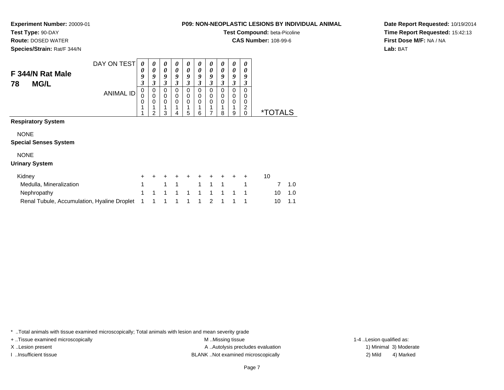**Experiment Number:** 20009-01**Test Type:** 90-DAY

**Route:** DOSED WATER

**Species/Strain:** Rat/F 344/N

# **Test Compound:** beta-Picoline

**CAS Number:** 108-99-6

**Date Report Requested:** 10/19/2014**Time Report Requested:** 15:42:13**First Dose M/F:** NA / NA**Lab:** BAT

|                                          | DAY ON TEST      | 0                          | 0                | 0                          | 0                | 0                | 0                | 0           | $\boldsymbol{\theta}$                 | 0                | 0                     |                       |
|------------------------------------------|------------------|----------------------------|------------------|----------------------------|------------------|------------------|------------------|-------------|---------------------------------------|------------------|-----------------------|-----------------------|
| F 344/N Rat Male<br><b>MG/L</b><br>78    |                  | 0<br>9<br>3                | 0<br>9<br>3      | 0<br>9<br>3                | 0<br>9<br>3      | 0<br>9<br>3      | 0<br>9<br>3      | 0<br>9<br>3 | 0<br>9<br>3                           | 0<br>9<br>3      | 0<br>9<br>3           |                       |
|                                          | <b>ANIMAL ID</b> | $\mathbf 0$<br>0<br>0<br>4 | 0<br>0<br>0<br>2 | 0<br>$\mathbf 0$<br>0<br>3 | 0<br>0<br>0<br>4 | 0<br>0<br>0<br>5 | 0<br>0<br>0<br>6 | 0<br>0<br>0 | $\Omega$<br>$\Omega$<br>$\Omega$<br>8 | 0<br>0<br>0<br>9 | 0<br>0<br>0<br>2<br>0 | <i><b>*TOTALS</b></i> |
| <b>Respiratory System</b><br><b>NONE</b> |                  |                            |                  |                            |                  |                  |                  |             |                                       |                  |                       |                       |
| <b>Special Senses System</b>             |                  |                            |                  |                            |                  |                  |                  |             |                                       |                  |                       |                       |
| <b>NONE</b><br><b>Urinary System</b>     |                  |                            |                  |                            |                  |                  |                  |             |                                       |                  |                       |                       |

#### **Resp**

### Spec

#### **Urinary System**

| Kidney                                                            | + + + + + + + + + + |  |  |  |  |                |        |
|-------------------------------------------------------------------|---------------------|--|--|--|--|----------------|--------|
| Medulla, Mineralization                                           | 1 1 1 1 1 1 1 1     |  |  |  |  |                | 7 1.0  |
| Nephropathy                                                       | 1 1 1 1 1 1 1 1 1 1 |  |  |  |  |                | 10 1.0 |
| Renal Tubule, Accumulation, Hyaline Droplet 1 1 1 1 1 1 1 2 1 1 1 |                     |  |  |  |  | $10 \quad 1.1$ |        |

\* ..Total animals with tissue examined microscopically; Total animals with lesion and mean severity grade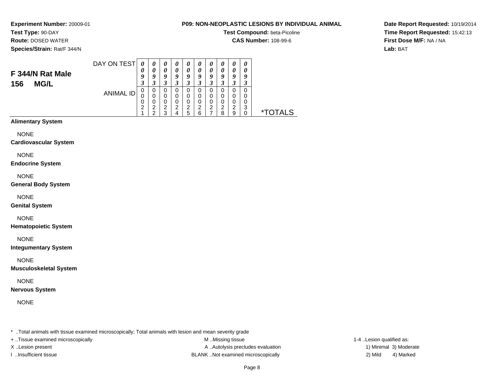**Experiment Number:** 20009-01**Test Type:** 90-DAY

## **Route:** DOSED WATER

**Species/Strain:** Rat/F 344/N

### **P09: NON-NEOPLASTIC LESIONS BY INDIVIDUAL ANIMAL**

**Test Compound:** beta-Picoline

**CAS Number:** 108-99-6

**Date Report Requested:** 10/19/2014**Time Report Requested:** 15:42:13**First Dose M/F:** NA / NA**Lab:** BAT

#### DAY ON TEST**F 344/N Rat Male**ANIMAL ID*0 0 9 3* 0 0 0 2 1*0 0 9 3* 0 0 0 2 2*0 0 9 3* 0 0 0 2 3*0 0 9 3* 0 0 0 2 4*0 0 9 3* 0 0 0 2 5*0 0 9 3* 0 0 0 2 6*0 0 9 3* 0 0 0 2 7*0 0 9 3* 0 0 0 2 8*0 0 9 3* 0 0 0 2 9*0 0 9 3* 0 0 0 3 $\check{\mathrm{o}}$ 0 \*TOTALS

### **Alimentary System**

**156 MG/L**

**NONE** 

#### **Cardiovascular System**

NONE

#### **Endocrine System**

NONE

#### **General Body System**

NONE

#### **Genital System**

NONE

#### **Hematopoietic System**

NONE

#### **Integumentary System**

NONE

#### **Musculoskeletal System**

NONE

#### **Nervous System**

NONE

\* ..Total animals with tissue examined microscopically; Total animals with lesion and mean severity grade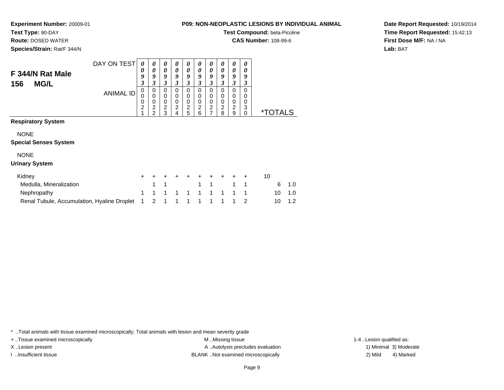**Experiment Number:** 20009-01**Test Type:** 90-DAY

**Route:** DOSED WATER

**Species/Strain:** Rat/F 344/N

# **Test Compound:** beta-Picoline

**CAS Number:** 108-99-6

**Date Report Requested:** 10/19/2014**Time Report Requested:** 15:42:13**First Dose M/F:** NA / NA**Lab:** BAT

|                                             | DAY ON TEST      | 0<br>0                        | 0<br>0                | 0<br>0                                       | 0<br>0                | 0<br>0                             | 0<br>0                | 0<br>0                                          | 0<br>0                             | 0<br>0                | 0<br>0                       |                       |    |     |
|---------------------------------------------|------------------|-------------------------------|-----------------------|----------------------------------------------|-----------------------|------------------------------------|-----------------------|-------------------------------------------------|------------------------------------|-----------------------|------------------------------|-----------------------|----|-----|
| F 344/N Rat Male<br><b>MG/L</b><br>156      |                  | 9<br>3                        | 9<br>3                | 9<br>3                                       | 9<br>3                | 9<br>3                             | 9<br>3                | 9<br>3                                          | 9<br>3                             | 9<br>3                | 9<br>3                       |                       |    |     |
|                                             | <b>ANIMAL ID</b> | 0<br>0<br>0<br>$\overline{c}$ | 0<br>0<br>0<br>2<br>2 | 0<br>0<br>$\mathbf 0$<br>$\overline{c}$<br>3 | 0<br>0<br>0<br>2<br>4 | 0<br>0<br>0<br>$\overline{c}$<br>5 | 0<br>0<br>0<br>2<br>6 | 0<br>0<br>0<br>$\overline{c}$<br>$\overline{7}$ | 0<br>0<br>0<br>$\overline{2}$<br>8 | 0<br>0<br>0<br>2<br>9 | 0<br>0<br>0<br>3<br>$\Omega$ | <i><b>*TOTALS</b></i> |    |     |
| <b>Respiratory System</b>                   |                  |                               |                       |                                              |                       |                                    |                       |                                                 |                                    |                       |                              |                       |    |     |
| <b>NONE</b><br><b>Special Senses System</b> |                  |                               |                       |                                              |                       |                                    |                       |                                                 |                                    |                       |                              |                       |    |     |
| <b>NONE</b>                                 |                  |                               |                       |                                              |                       |                                    |                       |                                                 |                                    |                       |                              |                       |    |     |
| <b>Urinary System</b>                       |                  |                               |                       |                                              |                       |                                    |                       |                                                 |                                    |                       |                              |                       |    |     |
| Kidney                                      |                  | +                             |                       |                                              |                       |                                    |                       |                                                 |                                    |                       | ÷                            | 10                    |    |     |
| Medulla, Mineralization                     |                  |                               |                       |                                              |                       |                                    | 1                     | 1                                               |                                    | 1                     | 1                            |                       | 6  | 1.0 |
| Nephropathy                                 |                  | 1                             |                       |                                              |                       | 1                                  |                       | 1                                               | 1                                  | 1                     | 1                            |                       | 10 | 1.0 |
| Renal Tubule, Accumulation, Hyaline Droplet |                  |                               | 2                     |                                              |                       |                                    |                       |                                                 | 1                                  | 1                     | $\mathfrak{p}$               |                       | 10 | 1.2 |

\* ..Total animals with tissue examined microscopically; Total animals with lesion and mean severity grade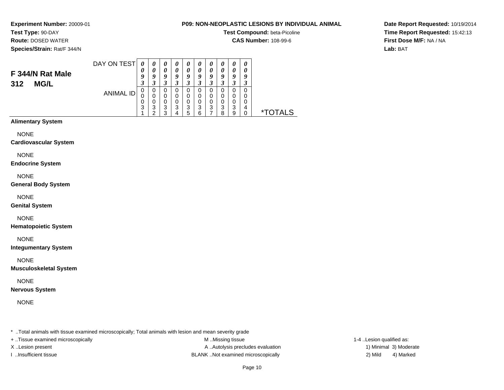**Experiment Number:** 20009-01**Test Type:** 90-DAY

## **Route:** DOSED WATER

**Species/Strain:** Rat/F 344/N

### **P09: NON-NEOPLASTIC LESIONS BY INDIVIDUAL ANIMAL**

**Test Compound:** beta-Picoline

**CAS Number:** 108-99-6

**Date Report Requested:** 10/19/2014**Time Report Requested:** 15:42:13**First Dose M/F:** NA / NA**Lab:** BAT

#### DAY ON TEST**F 344/N Rat Male**ANIMAL ID*0 0 9 3* 0 0 0 3 1*0 0 9 3*0<br>0<br>0<br>3<br>2 *0 0 9 3* 0 0 0 3 3*0 0 9 3* 0 0 0 3 4*0 0 9 3* 0 0 0 3 5*0 0 9 3* 0 0 0 3 6*0 0 9 3* 0 0 0 3 7*0 0 9 3*0<br>0<br>0<br>3<br>8 *0 0 9 3* 0 0 0 3 9*0 0 9 3* 0 0 0 4 $\dot{o}$ 0 \*TOTALS

### **Alimentary System**

**312 MG/L**

**NONE** 

#### **Cardiovascular System**

NONE

#### **Endocrine System**

NONE

#### **General Body System**

NONE

#### **Genital System**

NONE

#### **Hematopoietic System**

NONE

#### **Integumentary System**

NONE

#### **Musculoskeletal System**

NONE

#### **Nervous System**

NONE

\* ..Total animals with tissue examined microscopically; Total animals with lesion and mean severity grade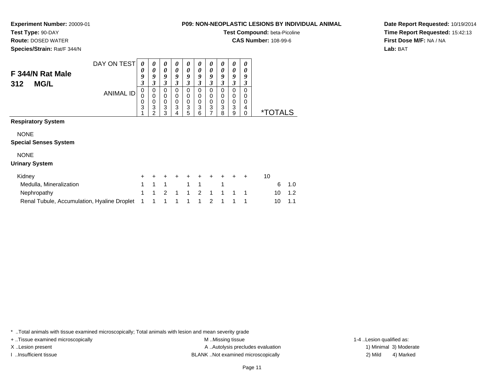**Experiment Number:** 20009-01

**Test Type:** 90-DAY

**Route:** DOSED WATER

**Species/Strain:** Rat/F 344/N

**Test Compound:** beta-Picoline

**CAS Number:** 108-99-6

**Date Report Requested:** 10/19/2014**Time Report Requested:** 15:42:13**First Dose M/F:** NA / NA**Lab:** BAT

|                              | DAY ON TEST      | 0                | 0                                        | 0                                    | 0                                      | 0                                           | 0                                           | $\boldsymbol{\theta}$           | $\boldsymbol{\theta}$                                  | 0                          | 0                                           |    |                       |     |  |
|------------------------------|------------------|------------------|------------------------------------------|--------------------------------------|----------------------------------------|---------------------------------------------|---------------------------------------------|---------------------------------|--------------------------------------------------------|----------------------------|---------------------------------------------|----|-----------------------|-----|--|
| F 344/N Rat Male             |                  | 0                | 0                                        | $\theta$                             | $\boldsymbol{\theta}$                  | $\boldsymbol{\theta}$                       | 0                                           | 0                               | 0                                                      | 0                          | 0                                           |    |                       |     |  |
|                              |                  | 9<br>3           | 9<br>3                                   | 9                                    | 9<br>3                                 | 9                                           | 9                                           | 9<br>3                          | 9                                                      | 9                          | 9                                           |    |                       |     |  |
| <b>MG/L</b><br>312           | <b>ANIMAL ID</b> | 0<br>0<br>0<br>3 | 0<br>$\Omega$<br>0<br>3<br>$\mathcal{P}$ | 3<br>0<br>0<br>$\mathbf 0$<br>3<br>3 | $\Omega$<br>0<br>$\mathbf 0$<br>3<br>4 | 3<br>$\Omega$<br>0<br>$\mathbf 0$<br>3<br>5 | 3<br>$\Omega$<br>0<br>$\mathbf 0$<br>3<br>6 | 0<br>0<br>$\mathbf 0$<br>3<br>7 | 3<br>$\Omega$<br>0<br>$\mathbf 0$<br>$\mathbf{3}$<br>8 | 3<br>0<br>0<br>0<br>3<br>9 | 3<br>$\Omega$<br>0<br>0<br>4<br>$\mathbf 0$ |    | <i><b>*TOTALS</b></i> |     |  |
| <b>Respiratory System</b>    |                  |                  |                                          |                                      |                                        |                                             |                                             |                                 |                                                        |                            |                                             |    |                       |     |  |
| <b>NONE</b>                  |                  |                  |                                          |                                      |                                        |                                             |                                             |                                 |                                                        |                            |                                             |    |                       |     |  |
| <b>Special Senses System</b> |                  |                  |                                          |                                      |                                        |                                             |                                             |                                 |                                                        |                            |                                             |    |                       |     |  |
| <b>NONE</b>                  |                  |                  |                                          |                                      |                                        |                                             |                                             |                                 |                                                        |                            |                                             |    |                       |     |  |
| <b>Urinary System</b>        |                  |                  |                                          |                                      |                                        |                                             |                                             |                                 |                                                        |                            |                                             |    |                       |     |  |
| Kidney                       |                  | $\pm$            |                                          | +                                    |                                        |                                             |                                             |                                 | ÷                                                      | +                          | ÷                                           | 10 |                       |     |  |
| Medulla, Mineralization      |                  | 1                |                                          | 1                                    |                                        | 1                                           | 1                                           |                                 | 1                                                      |                            |                                             |    | 6                     | 1.0 |  |
| Nephropathy                  |                  |                  |                                          | 2                                    |                                        |                                             | $\mathfrak{p}$                              | 1                               |                                                        |                            |                                             |    | 10                    | 1.2 |  |
|                              |                  |                  |                                          |                                      |                                        |                                             |                                             |                                 |                                                        |                            |                                             |    |                       |     |  |

Renal Tubule, Accumulation, Hyaline Droplet 1 <sup>1</sup> <sup>1</sup> <sup>1</sup> <sup>1</sup> <sup>1</sup> <sup>2</sup> <sup>1</sup> <sup>1</sup> <sup>1</sup> <sup>10</sup> 1.1

\* ..Total animals with tissue examined microscopically; Total animals with lesion and mean severity grade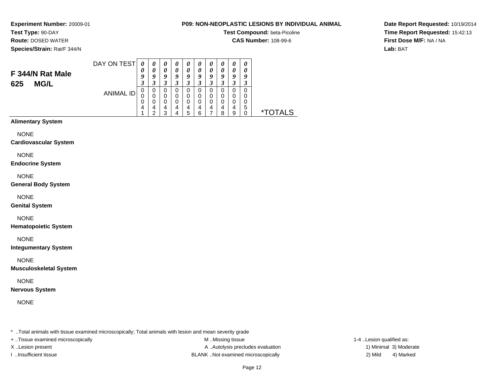**Experiment Number:** 20009-01**Test Type:** 90-DAY

## **Route:** DOSED WATER

**Species/Strain:** Rat/F 344/N

### **P09: NON-NEOPLASTIC LESIONS BY INDIVIDUAL ANIMAL**

**Test Compound:** beta-Picoline

**CAS Number:** 108-99-6

**Date Report Requested:** 10/19/2014**Time Report Requested:** 15:42:13**First Dose M/F:** NA / NA**Lab:** BAT

#### DAY ON TEST**F 344/N Rat Male**ANIMAL ID*0 0 9 3* 0 0 0 4 1*0 0 9 3*0<br>0<br>0<br>4<br>2 *0 0 9 3* 0 0 0 4 3*0 0 9 3* 0 0 0 4 4*0 0 9 3* 0 0 0 4 5*0 0 9 3* 0 0 0 4 6*0 0 9 3* 0 0 0 4 7*0 0 9 3* 0 0 0 4 8*0 0 9 3* 0 0 0 4 9*0 0 9 3* 0 0 0 5 $\check{\mathrm{o}}$ 0 \*TOTALS

### **Alimentary System**

**625 MG/L**

**NONE** 

#### **Cardiovascular System**

NONE

#### **Endocrine System**

NONE

#### **General Body System**

NONE

#### **Genital System**

NONE

#### **Hematopoietic System**

NONE

#### **Integumentary System**

NONE

#### **Musculoskeletal System**

NONE

### **Nervous System**

NONE

\* ..Total animals with tissue examined microscopically; Total animals with lesion and mean severity grade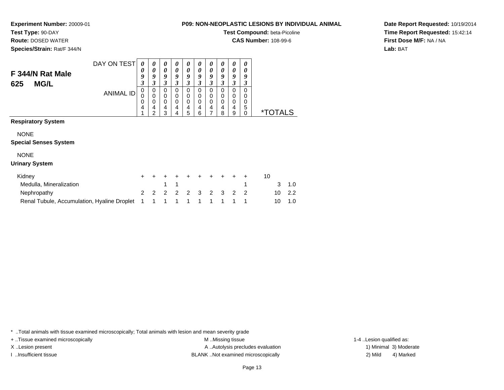**Test Type:** 90-DAY**Route:** DOSED WATER

**Species/Strain:** Rat/F 344/N

**Experiment Number:** 20009-01

| OFLASTIG LESIONS DT INDIVIDUAL ANIM |
|-------------------------------------|
| Test Compound: beta-Picoline        |

**CAS Number:** 108-99-6

**Date Report Requested:** 10/19/2014**Time Report Requested:** 15:42:14**First Dose M/F:** NA / NA**Lab:** BAT

|                                             | DAY ON TEST      | 0                | 0                     | 0                               | 0                     | 0                               | 0                     | 0                     | 0                            | 0                     | 0                            |                       |     |  |
|---------------------------------------------|------------------|------------------|-----------------------|---------------------------------|-----------------------|---------------------------------|-----------------------|-----------------------|------------------------------|-----------------------|------------------------------|-----------------------|-----|--|
| F 344/N Rat Male<br>625<br><b>MG/L</b>      |                  | 0<br>9<br>3      | 9<br>3                | 0<br>9<br>3                     | 0<br>9<br>3           | 0<br>9<br>3                     | 0<br>9<br>3           | 0<br>9<br>3           | 0<br>9<br>3                  | 0<br>9<br>3           | 0<br>9<br>3                  |                       |     |  |
|                                             | <b>ANIMAL ID</b> | 0<br>0<br>0<br>4 | 0<br>0<br>0<br>4<br>2 | 0<br>0<br>$\mathbf 0$<br>4<br>3 | 0<br>0<br>0<br>4<br>4 | 0<br>0<br>$\mathbf 0$<br>4<br>5 | 0<br>0<br>0<br>4<br>6 | 0<br>0<br>0<br>4<br>7 | $\Omega$<br>0<br>0<br>4<br>8 | 0<br>0<br>0<br>4<br>9 | 0<br>0<br>0<br>5<br>$\Omega$ | <i><b>*TOTALS</b></i> |     |  |
| <b>Respiratory System</b>                   |                  |                  |                       |                                 |                       |                                 |                       |                       |                              |                       |                              |                       |     |  |
| <b>NONE</b>                                 |                  |                  |                       |                                 |                       |                                 |                       |                       |                              |                       |                              |                       |     |  |
| <b>Special Senses System</b>                |                  |                  |                       |                                 |                       |                                 |                       |                       |                              |                       |                              |                       |     |  |
| <b>NONE</b>                                 |                  |                  |                       |                                 |                       |                                 |                       |                       |                              |                       |                              |                       |     |  |
| <b>Urinary System</b>                       |                  |                  |                       |                                 |                       |                                 |                       |                       |                              |                       |                              |                       |     |  |
| Kidney                                      |                  | +                |                       |                                 |                       |                                 |                       |                       |                              |                       |                              | 10                    |     |  |
| Medulla, Mineralization                     |                  |                  |                       | 4                               | 1                     |                                 |                       |                       |                              |                       | 4                            | 3                     | 1.0 |  |
| Nephropathy                                 |                  | $\overline{2}$   | 2                     | 2                               | 2                     | 2                               | 3                     | 2                     | 3                            | 2                     | $\overline{2}$               | 10                    | 2.2 |  |
| Renal Tubule, Accumulation, Hyaline Droplet |                  |                  |                       |                                 |                       | 1                               |                       | 1                     | 1                            | 1                     | 1                            | 10                    | 1.0 |  |

\* ..Total animals with tissue examined microscopically; Total animals with lesion and mean severity grade

+ ..Tissue examined microscopically examined microscopically examined as:  $M$  ..Missing tissue 1-4 ..Lesion qualified as: X..Lesion present **A ..Autolysis precludes evaluation** A ..Autolysis precludes evaluation 1) Minimal 3) Moderate I ..Insufficient tissue 2) Mild 2 and the BLANK ..Not examined microscopically and the same 2) Mild

4) Marked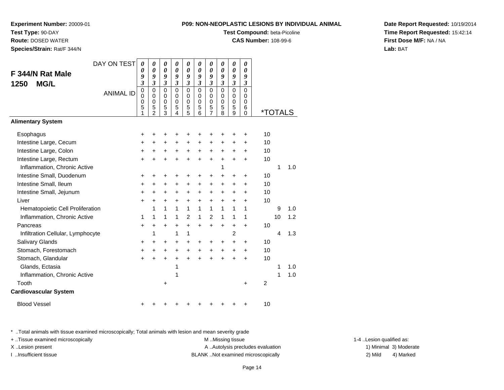**Test Compound:** beta-Picoline

**CAS Number:** 108-99-6

**Date Report Requested:** 10/19/2014**Time Report Requested:** 15:42:14**First Dose M/F:** NA / NA**Lab:** BAT

<sup>+</sup> <sup>+</sup> <sup>+</sup> <sup>+</sup> <sup>+</sup> <sup>+</sup> <sup>+</sup> <sup>+</sup> + 10

#### **F 344/N Rat Male1250 MG/L**ANIMAL ID *9 3* 0 0 0 5 1 *9 3* 0 0 0 5 2 *9 3* 0 0 0 5 3 *9 3* 0 0 0 5 4 *9 3* 0 0 0 5 5 *9 3* 0 0 0 5 6 *9 3* 0 0 0 5 7 *9 3* 0 0 0 5 8 *9 3* 0 0 0 5 9 *9 3* 0 0 0 6 $\check{\Omega}$ 0 \*TOTALS**Alimentary SystemEsophagus**  $\mathsf{S}$  + <sup>+</sup> <sup>+</sup> <sup>+</sup> <sup>+</sup> <sup>+</sup> <sup>+</sup> <sup>+</sup> <sup>+</sup> + 10 Intestine Large, Cecum <sup>+</sup> <sup>+</sup> <sup>+</sup> <sup>+</sup> <sup>+</sup> <sup>+</sup> <sup>+</sup> <sup>+</sup> <sup>+</sup> + 10 Intestine Large, Colon $\mathsf{n}$  + <sup>+</sup> <sup>+</sup> <sup>+</sup> <sup>+</sup> <sup>+</sup> <sup>+</sup> <sup>+</sup> <sup>+</sup> + 10 Intestine Large, Rectumm<br>
+ + + + + + + + + + + + 10 Inflammation, Chronic Activee 1 1 1.0 Intestine Small, Duodenum <sup>+</sup> <sup>+</sup> <sup>+</sup> <sup>+</sup> <sup>+</sup> <sup>+</sup> <sup>+</sup> <sup>+</sup> <sup>+</sup> + 10 Intestine Small, Ileum <sup>+</sup> <sup>+</sup> <sup>+</sup> <sup>+</sup> <sup>+</sup> <sup>+</sup> <sup>+</sup> <sup>+</sup> <sup>+</sup> + 10 Intestine Small, Jejunum <sup>+</sup> <sup>+</sup> <sup>+</sup> <sup>+</sup> <sup>+</sup> <sup>+</sup> <sup>+</sup> <sup>+</sup> <sup>+</sup> + 10 Liver $\mathsf{r}$  + <sup>+</sup> <sup>+</sup> <sup>+</sup> <sup>+</sup> <sup>+</sup> <sup>+</sup> <sup>+</sup> <sup>+</sup> + 10 Hematopoietic Cell Proliferationn 1 1 1 1 1 1 1 1 1 1 9 1.0 Inflammation, Chronic Active <sup>1</sup> <sup>1</sup> <sup>1</sup> <sup>1</sup> <sup>2</sup> <sup>1</sup> <sup>2</sup> <sup>1</sup> <sup>1</sup> <sup>1</sup> <sup>10</sup> 1.2 Pancreas <sup>+</sup> <sup>+</sup> <sup>+</sup> <sup>+</sup> <sup>+</sup> <sup>+</sup> <sup>+</sup> <sup>+</sup> <sup>+</sup> + 10 Infiltration Cellular, Lymphocyte <sup>1</sup> <sup>1</sup> <sup>1</sup> <sup>2</sup> <sup>4</sup> 1.3 Salivary Glands $\sim$   $\sim$   $\sim$   $\sim$   $\sim$   $\sim$  <sup>+</sup> <sup>+</sup> <sup>+</sup> <sup>+</sup> <sup>+</sup> <sup>+</sup> <sup>+</sup> <sup>+</sup> + 10 Stomach, Forestomach $h \rightarrow$  <sup>+</sup> <sup>+</sup> <sup>+</sup> <sup>+</sup> <sup>+</sup> <sup>+</sup> <sup>+</sup> <sup>+</sup> + 10 Stomach, Glandular $\mathsf{r}$  + <sup>+</sup> <sup>+</sup> <sup>+</sup> <sup>+</sup> <sup>+</sup> <sup>+</sup> <sup>+</sup> <sup>+</sup> + 10 Glands, Ectasiaa a contract to  $1$  1  $1$  1.0 Inflammation, Chronic Activee 1 1 1.0 Toothh  $+$  + 2 **Cardiovascular System**

*00*

*00*

*00*

*00*

*00*

*00*

*00*

*00*

*00*

*00*

Blood Vessel<sup>+</sup>

\* ..Total animals with tissue examined microscopically; Total animals with lesion and mean severity grade



**Experiment Number:** 20009-01

**Test Type:** 90-DAY **Route:** DOSED WATER**Species/Strain:** Rat/F 344/N

| $\ddot{}$        | $\ddot{}$               | +            | +                | $\ddot{}$ | 10                      |    |       |
|------------------|-------------------------|--------------|------------------|-----------|-------------------------|----|-------|
| $\ddot{}$        | $\ddot{}$               | $\ddot{}$    | +                | +         | 10                      |    |       |
| $\ddot{}$        | $\ddot{}$               | $\ddot{}$    | $\boldsymbol{+}$ | +         | 10                      |    |       |
| $\ddot{}$        | $\boldsymbol{+}$        | $\ddot{}$    | $\pmb{+}$        | +         | 10                      |    |       |
|                  |                         | 1            |                  |           |                         | 1  | 1.0   |
| $\boldsymbol{+}$ | $\ddot{}$               | $\ddot{}$    | +                | $\ddot{}$ | 10                      |    |       |
| $\ddot{}$        | $\ddot{}$               | $\ddot{}$    | $\pmb{+}$        | +         | 10                      |    |       |
| $\ddag$          | $\ddot{}$               | $\ddag$      | +                | +         | 10                      |    |       |
| $\ddot{}$        | $\ddot{}$               | $\ddot{}$    | $\pmb{+}$        | $\ddot{}$ | 10                      |    |       |
| $\mathbf{1}$     | 1                       | 1            | 1                | 1         |                         | 9  | 1.0   |
| $\mathbf{1}$     | $\overline{\mathbf{c}}$ | $\mathbf{1}$ | $\mathbf 1$      | 1         |                         | 10 | 1.2   |
| $\ddot{}$        | $\pmb{+}$               | $\ddot{}$    | $\ddot{}$        | $\pmb{+}$ | 10                      |    |       |
|                  |                         |              | $\overline{c}$   |           |                         | 4  | 1.3   |
| $\ddot{}$        | $\ddot{}$               | $\ddot{}$    | $\ddot{}$        | $\ddot{}$ | 10                      |    |       |
| $\ddot{}$        | $\ddot{}$               | $\ddot{}$    | $\boldsymbol{+}$ | +         | 10                      |    |       |
| $\ddot{}$        | +                       | $\ddag$      | +                | +         | 10                      |    |       |
|                  |                         |              |                  |           |                         | 1  | 1.0   |
|                  |                         |              |                  |           |                         | 1  | $1.0$ |
|                  |                         |              |                  | $\ddot{}$ | $\overline{\mathbf{c}}$ |    |       |
|                  |                         |              |                  |           |                         |    |       |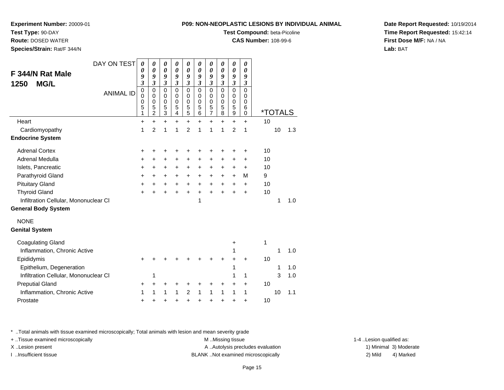**Test Compound:** beta-Picoline

**CAS Number:** 108-99-6

**Date Report Requested:** 10/19/2014**Time Report Requested:** 15:42:14**First Dose M/F:** NA / NA**Lab:** BAT

| ៶៲ ៶៲៲៴៲៸ ៶∟ τ∟                                                                                         | 0<br>0<br>5<br>1 | 0<br>$\mathbf 0$<br>5<br>$\overline{c}$ | 0<br>$\pmb{0}$<br>5<br>3 | 0<br>$\mathbf 0$<br>5<br>$\overline{\mathbf{4}}$ | 0<br>$\pmb{0}$<br>$\frac{5}{5}$ | 0<br>0<br>$\mathbf 5$<br>6 | 0<br>$\pmb{0}$<br>$\frac{5}{7}$ | 0<br>$\mathbf 0$<br>5<br>8 | 0<br>$\begin{array}{c} 0 \\ 5 \end{array}$<br>$\overline{9}$ | 0<br>$\mathbf 0$<br>6<br>$\mathbf 0$ |    | <i><b>*TOTALS</b></i> |     |
|---------------------------------------------------------------------------------------------------------|------------------|-----------------------------------------|--------------------------|--------------------------------------------------|---------------------------------|----------------------------|---------------------------------|----------------------------|--------------------------------------------------------------|--------------------------------------|----|-----------------------|-----|
| Heart                                                                                                   | $\ddot{}$        | $+$                                     | $\ddot{}$                | $\ddot{}$                                        | $+$                             | $\ddot{}$                  | $\ddot{}$                       | $\ddot{}$                  | $\ddot{}$                                                    | $\ddot{}$                            | 10 |                       |     |
| Cardiomyopathy                                                                                          | 1                | $\overline{2}$                          | 1                        | 1                                                | $\overline{2}$                  | 1                          | 1                               | 1                          | $\overline{2}$                                               | 1                                    |    | 10                    | 1.3 |
| <b>Endocrine System</b>                                                                                 |                  |                                         |                          |                                                  |                                 |                            |                                 |                            |                                                              |                                      |    |                       |     |
| <b>Adrenal Cortex</b>                                                                                   | +                | +                                       | +                        | +                                                | +                               | +                          | +                               | +                          | +                                                            | +                                    | 10 |                       |     |
| <b>Adrenal Medulla</b>                                                                                  | +                | $\ddot{}$                               | $\ddot{}$                | $\ddot{}$                                        | $\ddot{}$                       | $\ddot{}$                  | $\ddot{}$                       | +                          | +                                                            | $\ddot{}$                            | 10 |                       |     |
| Islets, Pancreatic                                                                                      | +                | $\ddot{}$                               | +                        | $\ddot{}$                                        | $\ddot{}$                       | +                          | $\ddot{}$                       | $\ddot{}$                  | +                                                            | $\ddot{}$                            | 10 |                       |     |
| Parathyroid Gland                                                                                       | +                | +                                       | +                        | +                                                | $\ddot{}$                       | +                          | +                               | +                          | +                                                            | M                                    | 9  |                       |     |
| <b>Pituitary Gland</b>                                                                                  | $\ddot{}$        | $\ddot{}$                               | +                        | $\ddot{}$                                        | +                               | $\ddot{}$                  | $\ddot{}$                       | $\ddot{}$                  | +                                                            | $\ddot{}$                            | 10 |                       |     |
| <b>Thyroid Gland</b>                                                                                    | $\ddot{}$        |                                         |                          |                                                  | $\ddot{}$                       | $\ddot{}$                  | $\ddot{}$                       |                            | $\ddot{}$                                                    | $\ddot{}$                            | 10 |                       |     |
| Infiltration Cellular, Mononuclear CI                                                                   |                  |                                         |                          |                                                  |                                 | 1                          |                                 |                            |                                                              |                                      |    | 1                     | 1.0 |
| <b>General Body System</b>                                                                              |                  |                                         |                          |                                                  |                                 |                            |                                 |                            |                                                              |                                      |    |                       |     |
| <b>NONE</b>                                                                                             |                  |                                         |                          |                                                  |                                 |                            |                                 |                            |                                                              |                                      |    |                       |     |
| <b>Genital System</b>                                                                                   |                  |                                         |                          |                                                  |                                 |                            |                                 |                            |                                                              |                                      |    |                       |     |
| <b>Coagulating Gland</b>                                                                                |                  |                                         |                          |                                                  |                                 |                            |                                 |                            | +                                                            |                                      | 1  |                       |     |
| Inflammation, Chronic Active                                                                            |                  |                                         |                          |                                                  |                                 |                            |                                 |                            | 1                                                            |                                      |    | 1                     | 1.0 |
| Epididymis                                                                                              | +                |                                         |                          |                                                  |                                 |                            |                                 |                            | +                                                            | $\ddot{}$                            | 10 |                       |     |
| Epithelium, Degeneration                                                                                |                  |                                         |                          |                                                  |                                 |                            |                                 |                            | 1                                                            |                                      |    | 1                     | 1.0 |
| Infiltration Cellular, Mononuclear CI                                                                   |                  | 1                                       |                          |                                                  |                                 |                            |                                 |                            | 1                                                            | 1                                    |    | 3                     | 1.0 |
| <b>Preputial Gland</b>                                                                                  | +                | +                                       | +                        |                                                  | +                               |                            | +                               | +                          | +                                                            | +                                    | 10 |                       |     |
| Inflammation, Chronic Active                                                                            | 1                | 1                                       | 1                        | 1                                                | $\overline{c}$                  | 1                          | 1                               | 1                          | 1                                                            | 1                                    |    | 10                    | 1.1 |
| Prostate                                                                                                | $\ddot{}$        |                                         |                          |                                                  |                                 |                            |                                 |                            |                                                              | +                                    | 10 |                       |     |
|                                                                                                         |                  |                                         |                          |                                                  |                                 |                            |                                 |                            |                                                              |                                      |    |                       |     |
| * Total animals with tissue examined microscopically; Total animals with lesion and mean severity grade |                  |                                         |                          |                                                  |                                 |                            |                                 |                            |                                                              |                                      |    |                       |     |

+ ..Tissue examined microscopically examined microscopically examined as:  $M$  ..Missing tissue 1-4 ..Lesion qualified as:

X..Lesion present **A ..Autolysis precludes evaluation** A ..Autolysis precludes evaluation 1) Minimal 3) Moderate

I ..Insufficient tissue BLANK ..Not examined microscopically 2) Mild 4) Marked

# **Experiment Number:** 20009-01

**Route:** DOSED WATER

**F 344/N Rat Male**

**1250 MG/L**

**Species/Strain:** Rat/F 344/N

# **Test Type:** 90-DAY

DAY ON TEST

ANIMAL ID

*0 0 9*

*0 0 9*

*0 0 9*

*0 0 9*

 *3*0

 *3*0

 *3*0

0

 *3*0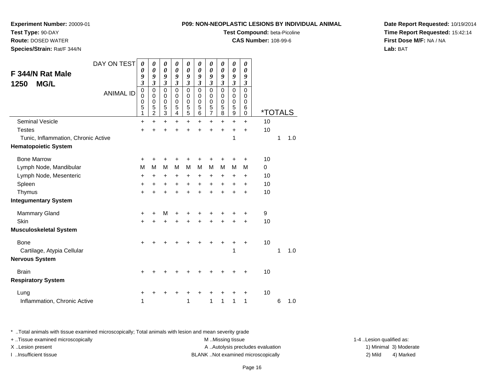**Test Compound:** beta-Picoline

**CAS Number:** 108-99-6

**Date Report Requested:** 10/19/2014**Time Report Requested:** 15:42:14**First Dose M/F:** NA / NA**Lab:** BAT

\* ..Total animals with tissue examined microscopically; Total animals with lesion and mean severity grade

+ ..Tissue examined microscopically examined microscopically examined as:  $M$  ..Missing tissue 1-4 ..Lesion qualified as: X..Lesion present **A ..Autolysis precludes evaluation** A ..Autolysis precludes evaluation 1) Minimal 3) Moderate I ..Insufficient tissue BLANK ..Not examined microscopically 2) Mild 4) Marked

|                                     | DAY ON TEST      | 0                                                                           | 0                                            | 0                                         | 0                                          | 0                               | 0                                         | 0                            | 0                                                   | 0                                         | 0                                                   |                       |   |     |
|-------------------------------------|------------------|-----------------------------------------------------------------------------|----------------------------------------------|-------------------------------------------|--------------------------------------------|---------------------------------|-------------------------------------------|------------------------------|-----------------------------------------------------|-------------------------------------------|-----------------------------------------------------|-----------------------|---|-----|
| F 344/N Rat Male                    |                  | 0                                                                           | 0                                            | 0                                         | $\boldsymbol{\theta}$<br>9                 | 0                               | 0                                         | 0                            | 0                                                   | 0<br>9                                    | 0                                                   |                       |   |     |
| <b>MG/L</b><br>1250                 |                  | 9<br>$\boldsymbol{\beta}$                                                   | 9<br>$\mathfrak{z}$                          | 9<br>3                                    | 3                                          | 9<br>$\overline{\mathbf{3}}$    | 9<br>$\overline{\mathbf{3}}$              | 9<br>$\overline{\mathbf{3}}$ | 9<br>3                                              | 3                                         | 9<br>$\boldsymbol{\beta}$                           |                       |   |     |
|                                     | <b>ANIMAL ID</b> | $\mathbf 0$<br>$\mathbf 0$<br>$\mathbf 0$<br>$\overline{5}$<br>$\mathbf{1}$ | $\mathbf 0$<br>0<br>0<br>5<br>$\overline{2}$ | $\mathbf 0$<br>$\mathbf 0$<br>0<br>5<br>3 | $\Omega$<br>$\Omega$<br>$\Omega$<br>5<br>4 | $\mathbf 0$<br>0<br>0<br>5<br>5 | $\mathbf 0$<br>$\mathbf 0$<br>0<br>5<br>6 | 0<br>0<br>0<br>5<br>7        | $\mathbf 0$<br>$\mathbf 0$<br>$\mathbf 0$<br>5<br>8 | $\mathbf 0$<br>0<br>$\mathbf 0$<br>5<br>9 | $\mathbf 0$<br>0<br>$\mathbf 0$<br>6<br>$\mathbf 0$ | <i><b>*TOTALS</b></i> |   |     |
| <b>Seminal Vesicle</b>              |                  | +                                                                           | $\div$                                       | +                                         | +                                          | $\ddot{}$                       | $\ddot{}$                                 | $\ddot{}$                    | $\ddot{}$                                           | $\ddot{}$                                 | $\ddot{}$                                           | 10                    |   |     |
| <b>Testes</b>                       |                  | $\ddot{}$                                                                   |                                              |                                           |                                            | +                               | +                                         | $\ddot{}$                    | $\ddot{}$                                           | $\ddot{}$                                 | $\ddot{}$                                           | 10                    |   |     |
| Tunic, Inflammation, Chronic Active |                  |                                                                             |                                              |                                           |                                            |                                 |                                           |                              |                                                     | 1                                         |                                                     |                       | 1 | 1.0 |
| <b>Hematopoietic System</b>         |                  |                                                                             |                                              |                                           |                                            |                                 |                                           |                              |                                                     |                                           |                                                     |                       |   |     |
| <b>Bone Marrow</b>                  |                  | $\ddot{}$                                                                   |                                              |                                           |                                            |                                 |                                           |                              |                                                     | +                                         | ٠                                                   | 10                    |   |     |
| Lymph Node, Mandibular              |                  | M                                                                           | М                                            | M                                         | M                                          | M                               | M                                         | M                            | M                                                   | M                                         | M                                                   | 0                     |   |     |
| Lymph Node, Mesenteric              |                  | +                                                                           | +                                            | +                                         | +                                          | +                               | +                                         | +                            | +                                                   | +                                         | +                                                   | 10                    |   |     |
| Spleen                              |                  | +                                                                           | +                                            | +                                         | +                                          | +                               | +                                         | +                            | +                                                   | +                                         | +                                                   | 10                    |   |     |
| Thymus                              |                  | $\ddot{}$                                                                   |                                              | +                                         | +                                          | $\ddot{}$                       | $\ddot{}$                                 | $\ddot{}$                    | $\ddot{}$                                           | +                                         | $\ddot{}$                                           | 10                    |   |     |
| <b>Integumentary System</b>         |                  |                                                                             |                                              |                                           |                                            |                                 |                                           |                              |                                                     |                                           |                                                     |                       |   |     |
| <b>Mammary Gland</b>                |                  | +                                                                           | ٠                                            | M                                         | +                                          | +                               |                                           | +                            | +                                                   | +                                         | +                                                   | 9                     |   |     |
| Skin                                |                  | $\ddot{}$                                                                   |                                              |                                           |                                            |                                 |                                           | +                            | $\ddot{}$                                           | $\ddot{}$                                 | +                                                   | 10                    |   |     |
| <b>Musculoskeletal System</b>       |                  |                                                                             |                                              |                                           |                                            |                                 |                                           |                              |                                                     |                                           |                                                     |                       |   |     |
| <b>Bone</b>                         |                  | +                                                                           |                                              |                                           |                                            |                                 |                                           |                              | +                                                   | +                                         | +                                                   | 10                    |   |     |
| Cartilage, Atypia Cellular          |                  |                                                                             |                                              |                                           |                                            |                                 |                                           |                              |                                                     | 1                                         |                                                     |                       | 1 | 1.0 |
| <b>Nervous System</b>               |                  |                                                                             |                                              |                                           |                                            |                                 |                                           |                              |                                                     |                                           |                                                     |                       |   |     |
| <b>Brain</b>                        |                  | ٠                                                                           |                                              |                                           |                                            |                                 |                                           |                              |                                                     | +                                         | ٠                                                   | 10                    |   |     |
| <b>Respiratory System</b>           |                  |                                                                             |                                              |                                           |                                            |                                 |                                           |                              |                                                     |                                           |                                                     |                       |   |     |
| Lung                                |                  | +                                                                           |                                              |                                           |                                            |                                 |                                           |                              |                                                     | +                                         | +                                                   | 10                    |   |     |
| Inflammation, Chronic Active        |                  | 1                                                                           |                                              |                                           |                                            | 1                               |                                           | 1                            | 1                                                   | 1                                         | 1                                                   |                       | 6 | 1.0 |

## **Experiment Number:** 20009-01

**Test Type:** 90-DAY

**Route:** DOSED WATER

**Species/Strain:** Rat/F 344/N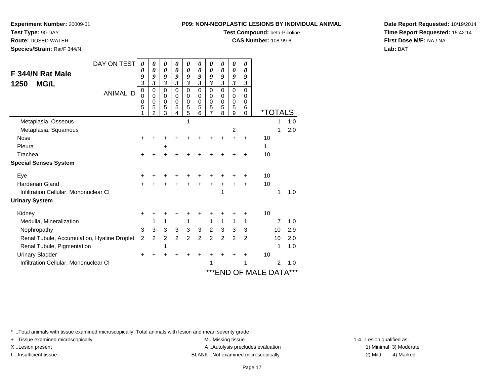**Test Compound:** beta-Picoline

**CAS Number:** 108-99-6

**Date Report Requested:** 10/19/2014**Time Report Requested:** 15:42:14**First Dose M/F:** NA / NA**Lab:** BAT

| DAY ON TEST<br>F 344/N Rat Male<br><b>MG/L</b><br>1250<br><b>ANIMAL ID</b> | 0<br>0<br>9<br>3<br>0<br>$\Omega$ | 0<br>0<br>9<br>$\mathfrak{z}$<br>0<br>$\mathbf 0$ | 0<br>0<br>9<br>3<br>$\mathbf 0$<br>0 | 0<br>0<br>9<br>$\mathfrak{z}$<br>$\mathbf 0$<br>$\mathbf 0$ | 0<br>0<br>9<br>3<br>$\mathbf 0$<br>$\mathbf 0$ | 0<br>0<br>9<br>$\boldsymbol{\beta}$<br>$\Omega$<br>0 | 0<br>$\boldsymbol{\theta}$<br>9<br>3<br>0<br>0 | 0<br>0<br>9<br>$\mathfrak{z}$<br>0<br>$\mathbf 0$ | 0<br>0<br>9<br>$\mathfrak{z}$<br>0<br>0 | 0<br>0<br>9<br>$\mathfrak{z}$<br>0<br>0 |                       |    |     |
|----------------------------------------------------------------------------|-----------------------------------|---------------------------------------------------|--------------------------------------|-------------------------------------------------------------|------------------------------------------------|------------------------------------------------------|------------------------------------------------|---------------------------------------------------|-----------------------------------------|-----------------------------------------|-----------------------|----|-----|
|                                                                            | 0<br>5                            | 0<br>5<br>$\overline{2}$                          | $\mathbf 0$<br>5<br>3                | $\mathbf 0$<br>5<br>4                                       | $\mathbf 0$<br>5<br>5                          | 0<br>5<br>6                                          | 0<br>5<br>$\overline{7}$                       | $\mathbf 0$<br>5<br>8                             | $\mathbf 0$<br>5<br>9                   | 0<br>6<br>0                             | <i><b>*TOTALS</b></i> |    |     |
| Metaplasia, Osseous                                                        |                                   |                                                   |                                      |                                                             |                                                |                                                      |                                                |                                                   |                                         |                                         |                       |    | 1.0 |
| Metaplasia, Squamous                                                       |                                   |                                                   |                                      |                                                             |                                                |                                                      |                                                |                                                   | $\overline{2}$                          |                                         |                       | 1  | 2.0 |
| <b>Nose</b>                                                                |                                   |                                                   |                                      |                                                             |                                                |                                                      |                                                |                                                   |                                         | +                                       | 10                    |    |     |
| Pleura                                                                     |                                   |                                                   | +                                    |                                                             |                                                |                                                      |                                                |                                                   |                                         |                                         | 1                     |    |     |
| Trachea                                                                    | ٠                                 |                                                   |                                      |                                                             |                                                |                                                      |                                                |                                                   |                                         | +                                       | 10                    |    |     |
| <b>Special Senses System</b>                                               |                                   |                                                   |                                      |                                                             |                                                |                                                      |                                                |                                                   |                                         |                                         |                       |    |     |
| Eye                                                                        |                                   |                                                   |                                      |                                                             |                                                |                                                      |                                                |                                                   |                                         | +                                       | 10                    |    |     |
| <b>Harderian Gland</b>                                                     | ÷                                 |                                                   |                                      |                                                             | $\ddot{}$                                      | $\ddot{}$                                            | $\ddot{}$                                      | $\ddot{}$                                         | $\ddot{}$                               | $\ddot{}$                               | 10                    |    |     |
| Infiltration Cellular, Mononuclear CI                                      |                                   |                                                   |                                      |                                                             |                                                |                                                      |                                                | 1                                                 |                                         |                                         |                       | 1  | 1.0 |
| <b>Urinary System</b>                                                      |                                   |                                                   |                                      |                                                             |                                                |                                                      |                                                |                                                   |                                         |                                         |                       |    |     |
| Kidney                                                                     | +                                 |                                                   |                                      |                                                             |                                                |                                                      |                                                |                                                   | +                                       | +                                       | 10                    |    |     |
| Medulla, Mineralization                                                    |                                   | 1                                                 | 1                                    |                                                             | 1                                              |                                                      | 1                                              | 1                                                 | 1                                       | 1                                       |                       | 7  | 1.0 |
| Nephropathy                                                                | 3                                 | 3                                                 | 3                                    | 3                                                           | 3                                              | 3                                                    | $\overline{2}$                                 | $\mathbf{3}$                                      | $\mathbf{3}$                            | 3                                       |                       | 10 | 2.9 |
| Renal Tubule, Accumulation, Hyaline Droplet                                | $\overline{2}$                    | 2                                                 | 2                                    | 2                                                           | $\overline{2}$                                 | 2                                                    | $\overline{c}$                                 | 2                                                 | 2                                       | 2                                       |                       | 10 | 2.0 |
| Renal Tubule, Pigmentation                                                 |                                   |                                                   | 1                                    |                                                             |                                                |                                                      |                                                |                                                   |                                         |                                         |                       | 1  | 1.0 |
| <b>Urinary Bladder</b>                                                     | +                                 |                                                   |                                      |                                                             |                                                | +                                                    |                                                |                                                   |                                         | ٠                                       | 10                    |    |     |
| Infiltration Cellular, Mononuclear CI                                      |                                   |                                                   |                                      |                                                             |                                                |                                                      | 1                                              |                                                   |                                         | 1                                       |                       | 2  | 1.0 |
|                                                                            |                                   |                                                   |                                      |                                                             |                                                |                                                      |                                                |                                                   |                                         |                                         | ***END OF MALE DATA   |    | *** |

\* ..Total animals with tissue examined microscopically; Total animals with lesion and mean severity grade

+ ..Tissue examined microscopically examined microscopically examined as:  $M$  ..Missing tissue 1-4 ..Lesion qualified as:

**Experiment Number:** 20009-01

**Test Type:** 90-DAY **Route:** DOSED WATER**Species/Strain:** Rat/F 344/N

X..Lesion present **A ..Autolysis precludes evaluation** A ..Autolysis precludes evaluation 1) Minimal 3) Moderate I ..Insufficient tissue BLANK ..Not examined microscopically 2) Mild 4) Marked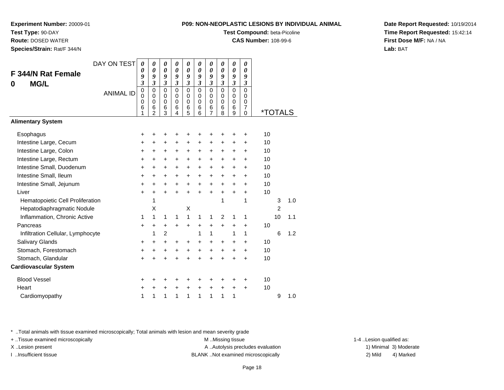**Experiment Number:** 20009-01

**Test Type:** 90-DAY

**Route:** DOSED WATER

**Species/Strain:** Rat/F 344/N

**Test Compound:** beta-Picoline

**CAS Number:** 108-99-6

**Date Report Requested:** 10/19/2014**Time Report Requested:** 15:42:14**First Dose M/F:** NA / NA**Lab:** BAT

| <b>F 344/N Rat Female</b>         | DAY ON TEST      | 0<br>0                          | 0<br>0                                                     | 0<br>0                          | 0<br>$\boldsymbol{\theta}$                       | 0<br>$\theta$                             | $\boldsymbol{\theta}$<br>$\boldsymbol{\theta}$ | 0<br>0                                                    | $\boldsymbol{\theta}$<br>$\boldsymbol{\theta}$ | 0<br>$\boldsymbol{\theta}$                   | $\boldsymbol{\theta}$<br>0                                  |                       |                |     |
|-----------------------------------|------------------|---------------------------------|------------------------------------------------------------|---------------------------------|--------------------------------------------------|-------------------------------------------|------------------------------------------------|-----------------------------------------------------------|------------------------------------------------|----------------------------------------------|-------------------------------------------------------------|-----------------------|----------------|-----|
| <b>MG/L</b><br>0                  |                  | 9<br>$\boldsymbol{\beta}$       | 9<br>$\mathfrak{z}$                                        | 9<br>3                          | 9<br>$\overline{\mathbf{3}}$                     | 9<br>$\mathfrak{z}$                       | 9<br>$\boldsymbol{\beta}$                      | 9<br>$\mathfrak{z}$                                       | 9<br>$\boldsymbol{\beta}$                      | 9<br>$\boldsymbol{\beta}$                    | 9<br>3                                                      |                       |                |     |
|                                   | <b>ANIMAL ID</b> | $\mathbf 0$<br>0<br>0<br>6<br>1 | $\pmb{0}$<br>$\Omega$<br>$\mathbf 0$<br>6<br>$\mathcal{P}$ | $\mathbf 0$<br>0<br>0<br>6<br>3 | $\mathbf 0$<br>$\Omega$<br>$\mathbf 0$<br>6<br>4 | $\mathbf 0$<br>0<br>$\mathbf 0$<br>6<br>5 | $\mathbf 0$<br>0<br>$\mathbf 0$<br>6<br>6      | $\overline{0}$<br>0<br>$\mathbf 0$<br>6<br>$\overline{7}$ | $\overline{0}$<br>0<br>$\mathbf 0$<br>6<br>8   | $\overline{0}$<br>0<br>$\mathbf 0$<br>6<br>9 | $\mathbf 0$<br>0<br>$\pmb{0}$<br>$\overline{7}$<br>$\Omega$ | <i><b>*TOTALS</b></i> |                |     |
| <b>Alimentary System</b>          |                  |                                 |                                                            |                                 |                                                  |                                           |                                                |                                                           |                                                |                                              |                                                             |                       |                |     |
| Esophagus                         |                  | +                               | +                                                          | +                               | +                                                | +                                         | +                                              | +                                                         | +                                              | +                                            | +                                                           | 10                    |                |     |
| Intestine Large, Cecum            |                  | +                               | +                                                          | +                               | +                                                | +                                         | +                                              | +                                                         | +                                              | +                                            | +                                                           | 10                    |                |     |
| Intestine Large, Colon            |                  | +                               | $\pm$                                                      | $\ddot{}$                       | $\ddot{}$                                        | +                                         | $\ddot{}$                                      | +                                                         | $\ddot{}$                                      | +                                            | +                                                           | 10                    |                |     |
| Intestine Large, Rectum           |                  | +                               | +                                                          | $\ddot{}$                       | +                                                | +                                         | +                                              | +                                                         | $\ddot{}$                                      | +                                            | +                                                           | 10                    |                |     |
| Intestine Small, Duodenum         |                  | $\ddot{}$                       | +                                                          | +                               | $\ddot{}$                                        | +                                         | $\ddot{}$                                      | +                                                         | $\ddot{}$                                      | +                                            | +                                                           | 10                    |                |     |
| Intestine Small, Ileum            |                  | $\ddot{}$                       | $\pm$                                                      | $\ddot{}$                       | +                                                | +                                         | $\ddot{}$                                      | $\ddot{}$                                                 | $\ddot{}$                                      | $\ddot{}$                                    | +                                                           | 10                    |                |     |
| Intestine Small, Jejunum          |                  | +                               | $\div$                                                     | $\pm$                           | ÷                                                | $\ddot{}$                                 | $\ddot{}$                                      | $\ddot{}$                                                 | $\ddot{}$                                      | +                                            | +                                                           | 10                    |                |     |
| Liver                             |                  | $\ddot{}$                       | $\ddot{}$                                                  | $\ddot{}$                       | ÷                                                | $\ddot{}$                                 | $\ddot{}$                                      | $\ddot{}$                                                 | +                                              | $\ddot{}$                                    | +                                                           | 10                    |                |     |
| Hematopoietic Cell Proliferation  |                  |                                 | 1                                                          |                                 |                                                  |                                           |                                                |                                                           | 1                                              |                                              | 1                                                           |                       | 3              | 1.0 |
| Hepatodiaphragmatic Nodule        |                  |                                 | X                                                          |                                 |                                                  | X                                         |                                                |                                                           |                                                |                                              |                                                             |                       | $\overline{2}$ |     |
| Inflammation, Chronic Active      |                  | 1                               | 1                                                          | 1                               | 1                                                | 1                                         | 1                                              | 1                                                         | $\overline{2}$                                 | 1                                            | 1                                                           |                       | 10             | 1.1 |
| Pancreas                          |                  | $\ddot{}$                       | $\ddot{}$                                                  | $\ddot{}$                       | $\ddot{}$                                        | $\ddot{}$                                 | $\ddot{}$                                      | $\ddot{}$                                                 | $\ddot{}$                                      | $\ddot{}$                                    | $\ddot{}$                                                   | 10                    |                |     |
| Infiltration Cellular, Lymphocyte |                  |                                 | 1                                                          | $\overline{2}$                  |                                                  |                                           | 1                                              | 1                                                         |                                                | 1                                            | 1                                                           |                       | 6              | 1.2 |
| Salivary Glands                   |                  | +                               | $\pm$                                                      | $\pm$                           | +                                                | +                                         | +                                              | +                                                         | +                                              | +                                            | +                                                           | 10                    |                |     |
| Stomach, Forestomach              |                  | $\ddot{}$                       | +                                                          | +                               | +                                                | +                                         | $\ddot{}$                                      | +                                                         | +                                              | +                                            | +                                                           | 10                    |                |     |
| Stomach, Glandular                |                  | $\ddot{}$                       |                                                            | $\ddot{}$                       |                                                  | $\ddot{}$                                 |                                                |                                                           | ÷                                              | Ŧ.                                           | $\ddot{}$                                                   | 10                    |                |     |
| <b>Cardiovascular System</b>      |                  |                                 |                                                            |                                 |                                                  |                                           |                                                |                                                           |                                                |                                              |                                                             |                       |                |     |
| <b>Blood Vessel</b>               |                  | +                               | ٠                                                          | +                               | ٠                                                | +                                         | +                                              | +                                                         | ٠                                              | +                                            | +                                                           | 10                    |                |     |
| Heart                             |                  | +                               | +                                                          | $\pm$                           | ÷                                                | $\ddot{}$                                 | $\ddot{}$                                      | $\ddot{}$                                                 | $\ddot{}$                                      | $\ddot{}$                                    | +                                                           | 10                    |                |     |
| Cardiomyopathy                    |                  | 1                               | 1                                                          | 1                               | 1                                                | 1                                         | 1                                              | 1                                                         | 1                                              | 1                                            |                                                             |                       | 9              | 1.0 |

\* ..Total animals with tissue examined microscopically; Total animals with lesion and mean severity grade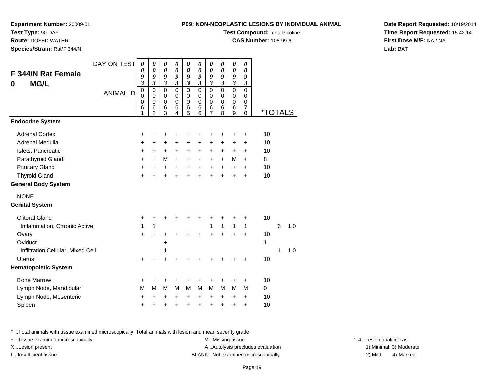**Experiment Number:** 20009-01

**Test Type:** 90-DAY

**Route:** DOSED WATER

**Species/Strain:** Rat/F 344/N

# **Test Compound:** beta-Picoline

**CAS Number:** 108-99-6

**Date Report Requested:** 10/19/2014**Time Report Requested:** 15:42:14**First Dose M/F:** NA / NA**Lab:** BAT

| <b>F 344/N Rat Female</b><br><b>MG/L</b><br>0 | DAY ON TEST<br><b>ANIMAL ID</b> | $\boldsymbol{\theta}$<br>$\boldsymbol{\theta}$<br>9<br>3<br>$\mathbf 0$<br>$\mathbf 0$<br>$\mathbf 0$ | 0<br>0<br>9<br>$\overline{\mathbf{3}}$<br>$\mathbf 0$<br>$\mathbf 0$<br>0 | 0<br>$\boldsymbol{\theta}$<br>9<br>$\boldsymbol{\mathfrak{z}}$<br>$\mathbf 0$<br>0<br>0 | 0<br>0<br>9<br>$\mathfrak{z}$<br>$\mathbf 0$<br>$\mathbf 0$<br>0 | $\boldsymbol{\theta}$<br>$\boldsymbol{\theta}$<br>9<br>$\mathfrak{z}$<br>$\mathbf 0$<br>$\mathbf 0$<br>0 | 0<br>$\boldsymbol{\theta}$<br>9<br>$\mathfrak{z}$<br>$\mathbf 0$<br>$\mathbf 0$<br>0 | $\boldsymbol{\theta}$<br>$\boldsymbol{\theta}$<br>9<br>$\mathfrak{z}$<br>$\pmb{0}$<br>$\pmb{0}$<br>$\pmb{0}$ | 0<br>0<br>9<br>$\mathfrak{z}$<br>$\mathbf 0$<br>0<br>$\mathbf 0$ | $\boldsymbol{\theta}$<br>$\boldsymbol{\theta}$<br>9<br>$\overline{\mathbf{3}}$<br>$\mathbf 0$<br>$\mathbf 0$<br>$\mathbf 0$ | 0<br>0<br>9<br>$\mathfrak{z}$<br>$\mathbf 0$<br>$\mathbf 0$<br>$\mathbf 0$ |         |   |     |
|-----------------------------------------------|---------------------------------|-------------------------------------------------------------------------------------------------------|---------------------------------------------------------------------------|-----------------------------------------------------------------------------------------|------------------------------------------------------------------|----------------------------------------------------------------------------------------------------------|--------------------------------------------------------------------------------------|--------------------------------------------------------------------------------------------------------------|------------------------------------------------------------------|-----------------------------------------------------------------------------------------------------------------------------|----------------------------------------------------------------------------|---------|---|-----|
|                                               |                                 | 6<br>1                                                                                                | 6<br>$\overline{2}$                                                       | 6<br>3                                                                                  | 6<br>$\overline{4}$                                              | 6<br>5                                                                                                   | 6<br>6                                                                               | 6<br>$\overline{7}$                                                                                          | 6<br>8                                                           | 6<br>9                                                                                                                      | 7<br>$\Omega$                                                              | *TOTALS |   |     |
| <b>Endocrine System</b>                       |                                 |                                                                                                       |                                                                           |                                                                                         |                                                                  |                                                                                                          |                                                                                      |                                                                                                              |                                                                  |                                                                                                                             |                                                                            |         |   |     |
| <b>Adrenal Cortex</b>                         |                                 | +                                                                                                     | +                                                                         | +                                                                                       | +                                                                | +                                                                                                        | +                                                                                    | +                                                                                                            | +                                                                | +                                                                                                                           | +                                                                          | 10      |   |     |
| Adrenal Medulla                               |                                 | +                                                                                                     | +                                                                         | +                                                                                       | $\ddot{}$                                                        | $\ddot{}$                                                                                                | $\ddot{}$                                                                            | $\ddot{}$                                                                                                    | +                                                                | +                                                                                                                           | +                                                                          | 10      |   |     |
| Islets, Pancreatic                            |                                 | +                                                                                                     | +                                                                         | $\ddot{}$                                                                               | $\ddot{}$                                                        | $\ddot{}$                                                                                                | +                                                                                    | $\ddot{}$                                                                                                    | +                                                                | $\ddot{}$                                                                                                                   | +                                                                          | 10      |   |     |
| Parathyroid Gland                             |                                 | $\ddot{}$                                                                                             | $+$                                                                       | M                                                                                       | $\ddot{}$                                                        | $\ddot{}$                                                                                                | $\ddot{}$                                                                            | $\ddot{}$                                                                                                    | $+$                                                              | М                                                                                                                           | $+$                                                                        | 8       |   |     |
| <b>Pituitary Gland</b>                        |                                 | $\ddot{}$                                                                                             | +                                                                         | $\ddot{}$                                                                               | $+$                                                              | $\ddot{}$                                                                                                | $\ddot{}$                                                                            | $\ddot{}$                                                                                                    | $\ddot{}$                                                        | $\ddot{}$                                                                                                                   | $\ddot{}$                                                                  | 10      |   |     |
| <b>Thyroid Gland</b>                          |                                 | +                                                                                                     | $\ddot{}$                                                                 | +                                                                                       | $\ddot{}$                                                        | $\ddot{}$                                                                                                | $\ddot{}$                                                                            | $\ddot{}$                                                                                                    | ÷                                                                | $\ddot{}$                                                                                                                   | $\ddot{}$                                                                  | 10      |   |     |
| <b>General Body System</b>                    |                                 |                                                                                                       |                                                                           |                                                                                         |                                                                  |                                                                                                          |                                                                                      |                                                                                                              |                                                                  |                                                                                                                             |                                                                            |         |   |     |
| <b>NONE</b>                                   |                                 |                                                                                                       |                                                                           |                                                                                         |                                                                  |                                                                                                          |                                                                                      |                                                                                                              |                                                                  |                                                                                                                             |                                                                            |         |   |     |
| <b>Genital System</b>                         |                                 |                                                                                                       |                                                                           |                                                                                         |                                                                  |                                                                                                          |                                                                                      |                                                                                                              |                                                                  |                                                                                                                             |                                                                            |         |   |     |
| <b>Clitoral Gland</b>                         |                                 | +                                                                                                     | +                                                                         | +                                                                                       | +                                                                | +                                                                                                        | +                                                                                    | +                                                                                                            | +                                                                | +                                                                                                                           | +                                                                          | 10      |   |     |
| Inflammation, Chronic Active                  |                                 | 1                                                                                                     | 1                                                                         |                                                                                         |                                                                  |                                                                                                          |                                                                                      | $\mathbf{1}$                                                                                                 | $\mathbf{1}$                                                     | $\mathbf{1}$                                                                                                                | $\mathbf{1}$                                                               |         | 6 | 1.0 |
| Ovary                                         |                                 | $\ddot{}$                                                                                             | $\ddot{}$                                                                 | +                                                                                       | +                                                                | +                                                                                                        | +                                                                                    |                                                                                                              |                                                                  | $\ddot{}$                                                                                                                   | $\ddot{}$                                                                  | 10      |   |     |
| Oviduct                                       |                                 |                                                                                                       |                                                                           | +                                                                                       |                                                                  |                                                                                                          |                                                                                      |                                                                                                              |                                                                  |                                                                                                                             |                                                                            | 1       |   |     |
| Infiltration Cellular, Mixed Cell             |                                 |                                                                                                       |                                                                           | 1                                                                                       |                                                                  |                                                                                                          |                                                                                      |                                                                                                              |                                                                  |                                                                                                                             |                                                                            |         | 1 | 1.0 |
| <b>Uterus</b>                                 |                                 | $\ddot{}$                                                                                             | $\ddot{}$                                                                 | $\ddot{}$                                                                               |                                                                  |                                                                                                          |                                                                                      |                                                                                                              |                                                                  |                                                                                                                             | +                                                                          | 10      |   |     |
| <b>Hematopoietic System</b>                   |                                 |                                                                                                       |                                                                           |                                                                                         |                                                                  |                                                                                                          |                                                                                      |                                                                                                              |                                                                  |                                                                                                                             |                                                                            |         |   |     |
| <b>Bone Marrow</b>                            |                                 | +                                                                                                     | +                                                                         | +                                                                                       | +                                                                | +                                                                                                        |                                                                                      | +                                                                                                            | +                                                                | +                                                                                                                           | +                                                                          | 10      |   |     |
| Lymph Node, Mandibular                        |                                 | М                                                                                                     | M                                                                         | M                                                                                       | M                                                                | M                                                                                                        | M                                                                                    | M                                                                                                            | M                                                                | M                                                                                                                           | м                                                                          | 0       |   |     |
| Lymph Node, Mesenteric                        |                                 | +                                                                                                     | +                                                                         | +                                                                                       | +                                                                | +                                                                                                        | +                                                                                    | +                                                                                                            | $\ddot{}$                                                        | +                                                                                                                           | +                                                                          | 10      |   |     |
| Spleen                                        |                                 | $\ddot{}$                                                                                             | +                                                                         | +                                                                                       | +                                                                | $\ddot{}$                                                                                                | $\ddot{}$                                                                            | $\ddot{}$                                                                                                    | $\ddot{}$                                                        | +                                                                                                                           | $\ddot{}$                                                                  | 10      |   |     |

\* ..Total animals with tissue examined microscopically; Total animals with lesion and mean severity grade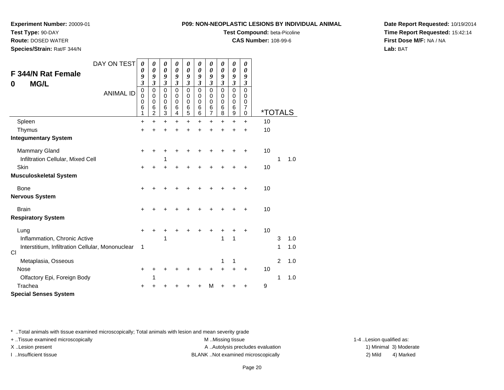## **Test Type:** 90-DAY

**Route:** DOSED WATER

**Species/Strain:** Rat/F 344/N

#### **P09: NON-NEOPLASTIC LESIONS BY INDIVIDUAL ANIMAL**

## **Test Compound:** beta-Picoline

**CAS Number:** 108-99-6

**Date Report Requested:** 10/19/2014**Time Report Requested:** 15:42:14**First Dose M/F:** NA / NA**Lab:** BAT

|           | DAY ON TEST                                      | 0                                                    | 0                     | 0                                                                   | 0                                                                 | 0                                                | 0                                                                      | 0                                                      | 0                                                            | 0                                                         | 0                                                  |                       |   |     |
|-----------|--------------------------------------------------|------------------------------------------------------|-----------------------|---------------------------------------------------------------------|-------------------------------------------------------------------|--------------------------------------------------|------------------------------------------------------------------------|--------------------------------------------------------|--------------------------------------------------------------|-----------------------------------------------------------|----------------------------------------------------|-----------------------|---|-----|
|           | <b>F 344/N Rat Female</b>                        | 0<br>9                                               | 0<br>9                | $\boldsymbol{\theta}$<br>9                                          | 0<br>9                                                            | 0<br>9                                           | $\boldsymbol{\theta}$<br>9                                             | $\boldsymbol{\theta}$<br>9                             | $\boldsymbol{\theta}$<br>9                                   | 0<br>9                                                    | $\boldsymbol{\theta}$<br>9                         |                       |   |     |
| 0         | <b>MG/L</b><br><b>ANIMAL ID</b>                  | $\mathfrak{z}$<br>$\pmb{0}$<br>$\mathbf 0$<br>0<br>6 | 3<br>0<br>0<br>0<br>6 | $\boldsymbol{\mathfrak{z}}$<br>$\mathbf 0$<br>0<br>$\mathbf 0$<br>6 | $\boldsymbol{\mathfrak{z}}$<br>$\pmb{0}$<br>0<br>$\mathbf 0$<br>6 | $\boldsymbol{\beta}$<br>$\pmb{0}$<br>0<br>0<br>6 | $\boldsymbol{\beta}$<br>$\mathbf 0$<br>$\mathbf 0$<br>$\mathbf 0$<br>6 | $\boldsymbol{\beta}$<br>$\mathbf 0$<br>0<br>0<br>$\,6$ | $\boldsymbol{\beta}$<br>$\pmb{0}$<br>0<br>$\pmb{0}$<br>$\,6$ | $\boldsymbol{\mathfrak{z}}$<br>$\mathsf 0$<br>0<br>0<br>6 | $\boldsymbol{\beta}$<br>$\mathbf 0$<br>0<br>0<br>7 |                       |   |     |
|           |                                                  | 1                                                    | $\overline{2}$        | 3                                                                   | $\overline{4}$                                                    | 5                                                | 6                                                                      | 7                                                      | 8                                                            | 9                                                         | 0                                                  | <i><b>*TOTALS</b></i> |   |     |
|           | Spleen                                           | $\ddot{}$                                            | $\ddot{}$             | $\ddot{}$                                                           | $\ddot{}$                                                         | $\ddot{}$                                        | $\ddot{}$                                                              | $\ddot{}$                                              | $\ddot{}$                                                    | $\ddot{}$                                                 | $\ddot{}$                                          | 10                    |   |     |
|           | Thymus                                           | +                                                    | +                     | ٠                                                                   |                                                                   | +                                                | +                                                                      | $\ddot{}$                                              | $\ddot{}$                                                    | $\ddot{}$                                                 | +                                                  | 10                    |   |     |
|           | <b>Integumentary System</b>                      |                                                      |                       |                                                                     |                                                                   |                                                  |                                                                        |                                                        |                                                              |                                                           |                                                    |                       |   |     |
|           | <b>Mammary Gland</b>                             | $\pm$                                                |                       |                                                                     |                                                                   |                                                  |                                                                        |                                                        |                                                              |                                                           | +                                                  | 10                    |   |     |
|           | Infiltration Cellular, Mixed Cell                |                                                      |                       | 1                                                                   |                                                                   |                                                  |                                                                        |                                                        |                                                              |                                                           |                                                    |                       | 1 | 1.0 |
|           | Skin                                             | +                                                    |                       |                                                                     |                                                                   |                                                  |                                                                        |                                                        |                                                              |                                                           |                                                    | 10                    |   |     |
|           | <b>Musculoskeletal System</b>                    |                                                      |                       |                                                                     |                                                                   |                                                  |                                                                        |                                                        |                                                              |                                                           |                                                    |                       |   |     |
|           | <b>Bone</b>                                      | +                                                    |                       |                                                                     |                                                                   |                                                  |                                                                        |                                                        |                                                              |                                                           | +                                                  | 10                    |   |     |
|           | <b>Nervous System</b>                            |                                                      |                       |                                                                     |                                                                   |                                                  |                                                                        |                                                        |                                                              |                                                           |                                                    |                       |   |     |
|           | <b>Brain</b>                                     | ٠                                                    |                       |                                                                     |                                                                   |                                                  |                                                                        |                                                        |                                                              |                                                           | +                                                  | 10                    |   |     |
|           | <b>Respiratory System</b>                        |                                                      |                       |                                                                     |                                                                   |                                                  |                                                                        |                                                        |                                                              |                                                           |                                                    |                       |   |     |
|           | Lung                                             | +                                                    |                       |                                                                     |                                                                   |                                                  |                                                                        |                                                        |                                                              |                                                           | +                                                  | 10                    |   |     |
|           | Inflammation, Chronic Active                     |                                                      |                       | 1                                                                   |                                                                   |                                                  |                                                                        |                                                        | 1                                                            | 1                                                         |                                                    |                       | 3 | 1.0 |
| <b>CI</b> | Interstitium, Infiltration Cellular, Mononuclear | 1                                                    |                       |                                                                     |                                                                   |                                                  |                                                                        |                                                        |                                                              |                                                           |                                                    |                       | 1 | 1.0 |
|           | Metaplasia, Osseous                              |                                                      |                       |                                                                     |                                                                   |                                                  |                                                                        |                                                        | 1                                                            | 1                                                         |                                                    |                       | 2 | 1.0 |
|           | Nose                                             | ÷                                                    |                       |                                                                     |                                                                   |                                                  |                                                                        | +                                                      | +                                                            | +                                                         | +                                                  | 10                    |   |     |
|           | Olfactory Epi, Foreign Body                      |                                                      |                       |                                                                     |                                                                   |                                                  |                                                                        |                                                        |                                                              |                                                           |                                                    |                       | 1 | 1.0 |
|           | Trachea                                          |                                                      |                       |                                                                     |                                                                   |                                                  |                                                                        | м                                                      |                                                              |                                                           |                                                    | 9                     |   |     |
|           | <b>Special Senses System</b>                     |                                                      |                       |                                                                     |                                                                   |                                                  |                                                                        |                                                        |                                                              |                                                           |                                                    |                       |   |     |

\* ..Total animals with tissue examined microscopically; Total animals with lesion and mean severity grade

+ ..Tissue examined microscopically examined microscopically examined as:  $M$  ..Missing tissue 1-4 ..Lesion qualified as:

X..Lesion present **A ..Autolysis precludes evaluation** A ..Autolysis precludes evaluation 1) Minimal 3) Moderate

I ..Insufficient tissue BLANK ..Not examined microscopically 2) Mild 4) Marked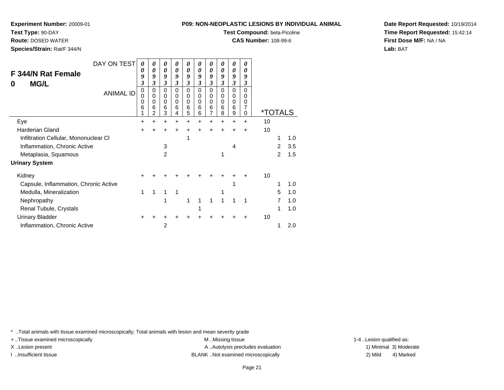#### **Test Type:** 90-DAY

**Route:** DOSED WATER

**Species/Strain:** Rat/F 344/N

#### **P09: NON-NEOPLASTIC LESIONS BY INDIVIDUAL ANIMAL**

## **Test Compound:** beta-Picoline

**CAS Number:** 108-99-6

**Date Report Requested:** 10/19/2014**Time Report Requested:** 15:42:14**First Dose M/F:** NA / NA**Lab:** BAT

| DAY ON TEST<br>F 344/N Rat Female<br><b>MG/L</b><br>0<br><b>ANIMAL ID</b> | 0<br>0<br>9<br>3<br>0<br>0<br>0<br>6<br>1 | 0<br>0<br>9<br>3<br>0<br>0<br>0<br>6<br>2 | 0<br>0<br>9<br>$\overline{\mathbf{3}}$<br>0<br>$\mathbf 0$<br>0<br>6<br>3 | 0<br>0<br>9<br>3<br>$\mathbf 0$<br>$\mathbf 0$<br>0<br>6<br>4 | 0<br>0<br>9<br>3<br>0<br>0<br>0<br>6<br>5 | 0<br>0<br>9<br>3<br>0<br>$\mathbf 0$<br>0<br>6<br>6 | $\boldsymbol{\theta}$<br>0<br>9<br>3<br>0<br>0<br>0<br>6<br>7 | 0<br>0<br>9<br>3<br>$\Omega$<br>0<br>0<br>6<br>8 | 0<br>0<br>9<br>$\mathfrak{z}$<br>$\mathbf 0$<br>$\mathbf 0$<br>$\mathbf 0$<br>6<br>9 | 0<br>0<br>9<br>3<br>$\Omega$<br>0<br>0<br>7<br>0 | *TOTALS |                |     |
|---------------------------------------------------------------------------|-------------------------------------------|-------------------------------------------|---------------------------------------------------------------------------|---------------------------------------------------------------|-------------------------------------------|-----------------------------------------------------|---------------------------------------------------------------|--------------------------------------------------|--------------------------------------------------------------------------------------|--------------------------------------------------|---------|----------------|-----|
| Eye                                                                       | ٠                                         | +                                         | $\ddot{}$                                                                 | $\pm$                                                         | +                                         | +                                                   | +                                                             | +                                                | $\ddot{}$                                                                            | +                                                | 10      |                |     |
| <b>Harderian Gland</b>                                                    | +                                         |                                           | +                                                                         |                                                               | +                                         |                                                     |                                                               |                                                  |                                                                                      | +                                                | 10      |                |     |
| Infiltration Cellular, Mononuclear CI                                     |                                           |                                           |                                                                           |                                                               | 1                                         |                                                     |                                                               |                                                  |                                                                                      |                                                  |         | 1              | 1.0 |
| Inflammation, Chronic Active                                              |                                           |                                           | 3                                                                         |                                                               |                                           |                                                     |                                                               |                                                  | 4                                                                                    |                                                  |         | $\overline{2}$ | 3.5 |
| Metaplasia, Squamous                                                      |                                           |                                           | $\overline{2}$                                                            |                                                               |                                           |                                                     |                                                               | 1                                                |                                                                                      |                                                  |         | 2              | 1.5 |
| <b>Urinary System</b>                                                     |                                           |                                           |                                                                           |                                                               |                                           |                                                     |                                                               |                                                  |                                                                                      |                                                  |         |                |     |
| Kidney                                                                    |                                           |                                           |                                                                           |                                                               |                                           |                                                     |                                                               |                                                  |                                                                                      |                                                  | 10      |                |     |
| Capsule, Inflammation, Chronic Active                                     |                                           |                                           |                                                                           |                                                               |                                           |                                                     |                                                               |                                                  |                                                                                      |                                                  |         | 1              | 1.0 |
| Medulla, Mineralization                                                   | 1                                         | 1                                         | 1                                                                         | 1                                                             |                                           |                                                     |                                                               |                                                  |                                                                                      |                                                  |         | 5              | 1.0 |
| Nephropathy                                                               |                                           |                                           | 1                                                                         |                                                               | 1                                         |                                                     |                                                               |                                                  |                                                                                      |                                                  |         | 7              | 1.0 |
| Renal Tubule, Crystals                                                    |                                           |                                           |                                                                           |                                                               |                                           |                                                     |                                                               |                                                  |                                                                                      |                                                  |         | 1              | 1.0 |
| <b>Urinary Bladder</b>                                                    |                                           |                                           |                                                                           |                                                               |                                           |                                                     |                                                               |                                                  |                                                                                      |                                                  | 10      |                |     |
| Inflammation, Chronic Active                                              |                                           |                                           | 2                                                                         |                                                               |                                           |                                                     |                                                               |                                                  |                                                                                      |                                                  |         |                | 2.0 |

\* ..Total animals with tissue examined microscopically; Total animals with lesion and mean severity grade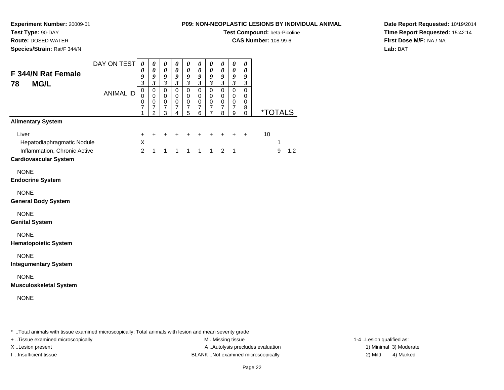**Test Type:** 90-DAY

**Route:** DOSED WATER

**Species/Strain:** Rat/F 344/N

### **P09: NON-NEOPLASTIC LESIONS BY INDIVIDUAL ANIMAL**

**Test Compound:** beta-Picoline

**CAS Number:** 108-99-6

**Date Report Requested:** 10/19/2014**Time Report Requested:** 15:42:14**First Dose M/F:** NA / NA**Lab:** BAT

| F 344/N Rat Female<br><b>MG/L</b><br>78                                                             | DAY ON TEST      | $\pmb{\theta}$<br>0<br>9<br>$\overline{3}$ | 0<br>0<br>9<br>$\overline{\mathbf{3}}$                   | $\boldsymbol{\theta}$<br>$\boldsymbol{\theta}$<br>9<br>$\mathfrak{z}$ | $\boldsymbol{\theta}$<br>$\boldsymbol{\theta}$<br>$\boldsymbol{g}$<br>$\mathfrak{z}$ | $\boldsymbol{\theta}$<br>$\boldsymbol{\theta}$<br>$\boldsymbol{g}$<br>$\mathfrak{z}$ | 0<br>0<br>9<br>$\mathfrak{z}$                                  | $\boldsymbol{\theta}$<br>$\pmb{\theta}$<br>9<br>$\mathfrak{z}$    | $\boldsymbol{\theta}$<br>$\boldsymbol{\theta}$<br>$\pmb{9}$<br>$\mathfrak{z}$ | $\boldsymbol{\theta}$<br>$\boldsymbol{\theta}$<br>9<br>$\mathfrak{z}$ | 0<br>0<br>$\boldsymbol{g}$<br>$\mathfrak{z}$        |    |        |                       |
|-----------------------------------------------------------------------------------------------------|------------------|--------------------------------------------|----------------------------------------------------------|-----------------------------------------------------------------------|--------------------------------------------------------------------------------------|--------------------------------------------------------------------------------------|----------------------------------------------------------------|-------------------------------------------------------------------|-------------------------------------------------------------------------------|-----------------------------------------------------------------------|-----------------------------------------------------|----|--------|-----------------------|
|                                                                                                     | <b>ANIMAL ID</b> | $\pmb{0}$<br>0<br>0<br>$\overline{7}$<br>1 | 0<br>0<br>0<br>$\overline{\mathbf{7}}$<br>$\overline{2}$ | $\mathbf 0$<br>$\mathbf 0$<br>$\pmb{0}$<br>$\overline{7}$<br>3        | $\mathbf 0$<br>$\mathbf 0$<br>$\,0\,$<br>$\boldsymbol{7}$<br>4                       | $\mathbf 0$<br>0<br>$\mathbf 0$<br>$\overline{7}$<br>5                               | $\pmb{0}$<br>$\mathbf 0$<br>$\mathbf 0$<br>$\overline{7}$<br>6 | $\mathbf 0$<br>0<br>$\pmb{0}$<br>$\overline{7}$<br>$\overline{7}$ | $\mathbf 0$<br>$\mathbf 0$<br>$\pmb{0}$<br>$\boldsymbol{7}$<br>8              | $\pmb{0}$<br>0<br>$\pmb{0}$<br>$\overline{7}$<br>9                    | $\mathbf 0$<br>0<br>$\mathbf 0$<br>8<br>$\mathbf 0$ |    |        | <i><b>*TOTALS</b></i> |
| <b>Alimentary System</b>                                                                            |                  |                                            |                                                          |                                                                       |                                                                                      |                                                                                      |                                                                |                                                                   |                                                                               |                                                                       |                                                     |    |        |                       |
| Liver<br>Hepatodiaphragmatic Nodule<br>Inflammation, Chronic Active<br><b>Cardiovascular System</b> |                  | +<br>X<br>$\overline{2}$                   | $\ddot{}$<br>$\mathbf{1}$                                | +<br>$\mathbf{1}$                                                     | $\mathbf{1}$                                                                         | $\ddot{}$<br>1                                                                       | $\ddot{}$<br>$\mathbf{1}$                                      | $+$<br>$\mathbf{1}$                                               | $\ddot{}$<br>$\overline{2}$                                                   | +<br>$\overline{1}$                                                   | $\ddot{}$                                           | 10 | 1<br>9 | 1.2                   |
| <b>NONE</b><br><b>Endocrine System</b>                                                              |                  |                                            |                                                          |                                                                       |                                                                                      |                                                                                      |                                                                |                                                                   |                                                                               |                                                                       |                                                     |    |        |                       |
| <b>NONE</b><br><b>General Body System</b>                                                           |                  |                                            |                                                          |                                                                       |                                                                                      |                                                                                      |                                                                |                                                                   |                                                                               |                                                                       |                                                     |    |        |                       |
| <b>NONE</b><br><b>Genital System</b>                                                                |                  |                                            |                                                          |                                                                       |                                                                                      |                                                                                      |                                                                |                                                                   |                                                                               |                                                                       |                                                     |    |        |                       |
| <b>NONE</b><br><b>Hematopoietic System</b>                                                          |                  |                                            |                                                          |                                                                       |                                                                                      |                                                                                      |                                                                |                                                                   |                                                                               |                                                                       |                                                     |    |        |                       |
| <b>NONE</b><br><b>Integumentary System</b>                                                          |                  |                                            |                                                          |                                                                       |                                                                                      |                                                                                      |                                                                |                                                                   |                                                                               |                                                                       |                                                     |    |        |                       |
| <b>NONE</b><br><b>Musculoskeletal System</b>                                                        |                  |                                            |                                                          |                                                                       |                                                                                      |                                                                                      |                                                                |                                                                   |                                                                               |                                                                       |                                                     |    |        |                       |
| <b>NONE</b>                                                                                         |                  |                                            |                                                          |                                                                       |                                                                                      |                                                                                      |                                                                |                                                                   |                                                                               |                                                                       |                                                     |    |        |                       |
|                                                                                                     |                  |                                            |                                                          |                                                                       |                                                                                      |                                                                                      |                                                                |                                                                   |                                                                               |                                                                       |                                                     |    |        |                       |

\* ..Total animals with tissue examined microscopically; Total animals with lesion and mean severity grade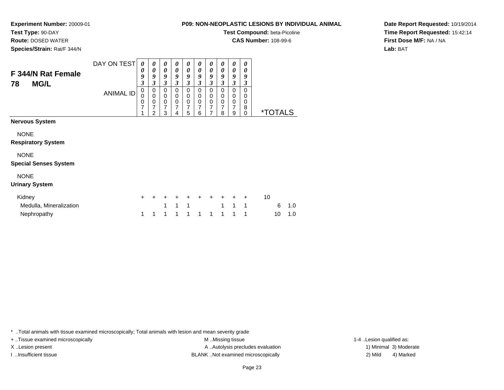**Experiment Number:** 20009-01

**Test Type:** 90-DAY

**Route:** DOSED WATER

**Species/Strain:** Rat/F 344/N

| 09: NON-NEOPLASTIC LESIONS BY INDIVIDUAL ANIM |  |
|-----------------------------------------------|--|
| <b>Test Compound: beta-Picoline</b>           |  |

**CAS Number:** 108-99-6

**Date Report Requested:** 10/19/2014**Time Report Requested:** 15:42:14**First Dose M/F:** NA / NA**Lab:** BAT

| F 344/N Rat Female<br><b>MG/L</b><br>78                                                                          | DAY ON TEST<br><b>ANIMAL ID</b> | 0<br>0<br>9<br>$\mathfrak{z}$<br>$\boldsymbol{0}$<br>$\pmb{0}$<br>$\frac{0}{7}$<br>4 | 0<br>0<br>9<br>3<br>0<br>$\pmb{0}$<br>$\pmb{0}$<br>$\overline{7}$<br>2 | 0<br>0<br>9<br>3<br>0<br>$\,0\,$<br>$\mathbf 0$<br>7<br>3 | 0<br>0<br>9<br>3<br>$\Omega$<br>0<br>$\mathbf 0$<br>7<br>4 | 0<br>$\boldsymbol{\theta}$<br>9<br>3<br>0<br>0<br>$\pmb{0}$<br>7<br>5 | 0<br>0<br>9<br>$\mathfrak{z}$<br>$\Omega$<br>0<br>$\mathbf 0$<br>$\overline{7}$<br>6 | 0<br>$\boldsymbol{\theta}$<br>9<br>3<br>$\mathbf 0$<br>0<br>$\mathbf 0$<br>$\overline{7}$<br>7 | 0<br>$\boldsymbol{\theta}$<br>9<br>3<br>$\Omega$<br>0<br>$\pmb{0}$<br>$\overline{7}$<br>8 | 0<br>0<br>9<br>3<br>0<br>0<br>$\mathbf 0$<br>7<br>9 | 0<br>0<br>9<br>3<br>0<br>0<br>0<br>8<br>$\mathbf 0$ | <i><b>*TOTALS</b></i>       |
|------------------------------------------------------------------------------------------------------------------|---------------------------------|--------------------------------------------------------------------------------------|------------------------------------------------------------------------|-----------------------------------------------------------|------------------------------------------------------------|-----------------------------------------------------------------------|--------------------------------------------------------------------------------------|------------------------------------------------------------------------------------------------|-------------------------------------------------------------------------------------------|-----------------------------------------------------|-----------------------------------------------------|-----------------------------|
| <b>Nervous System</b><br><b>NONE</b><br><b>Respiratory System</b><br><b>NONE</b><br><b>Special Senses System</b> |                                 |                                                                                      |                                                                        |                                                           |                                                            |                                                                       |                                                                                      |                                                                                                |                                                                                           |                                                     |                                                     |                             |
| <b>NONE</b><br><b>Urinary System</b>                                                                             |                                 |                                                                                      |                                                                        |                                                           |                                                            |                                                                       |                                                                                      |                                                                                                |                                                                                           |                                                     |                                                     |                             |
| Kidney<br>Medulla, Mineralization<br>Nephropathy                                                                 |                                 | $\ddot{}$<br>1                                                                       | 1                                                                      | +<br>1<br>1                                               | 1<br>1                                                     | $\mathbf{1}$<br>1                                                     | ÷<br>1                                                                               | $\pm$<br>1                                                                                     | $\ddot{}$<br>1<br>1                                                                       | $\ddot{}$<br>$\mathbf{1}$<br>1                      | $\ddot{}$<br>1<br>1                                 | 10<br>6<br>1.0<br>1.0<br>10 |

\* ..Total animals with tissue examined microscopically; Total animals with lesion and mean severity grade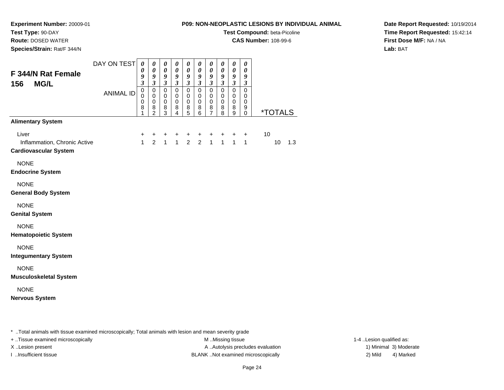## **Test Type:** 90-DAY

**Route:** DOSED WATER

**Species/Strain:** Rat/F 344/N

### **P09: NON-NEOPLASTIC LESIONS BY INDIVIDUAL ANIMAL**

**Test Compound:** beta-Picoline

**CAS Number:** 108-99-6

**Date Report Requested:** 10/19/2014**Time Report Requested:** 15:42:14**First Dose M/F:** NA / NA**Lab:** BAT

| F 344/N Rat Female<br>156<br><b>MG/L</b>                              | DAY ON TEST      | 0<br>0<br>9<br>$\mathfrak{z}$<br>$\mathbf 0$ | 0<br>$\boldsymbol{\theta}$<br>9<br>$\mathfrak{z}$<br>$\mathbf 0$ | 0<br>$\boldsymbol{\theta}$<br>$\boldsymbol{g}$<br>$\mathfrak{z}$<br>$\mathbf 0$ | $\boldsymbol{\theta}$<br>$\boldsymbol{\theta}$<br>9<br>$\mathfrak{z}$<br>$\mathbf 0$ | $\pmb{\theta}$<br>$\pmb{\theta}$<br>9<br>$\mathfrak{z}$<br>$\mathbf 0$ | 0<br>$\pmb{\theta}$<br>9<br>$\overline{\mathbf{3}}$<br>$\mathbf 0$ | 0<br>$\pmb{\theta}$<br>$\boldsymbol{g}$<br>$\mathfrak{z}$<br>$\mathbf 0$ | 0<br>0<br>9<br>$\mathfrak{z}$<br>$\mathbf 0$ | 0<br>$\boldsymbol{\theta}$<br>$\boldsymbol{g}$<br>$\mathfrak{z}$<br>$\mathbf 0$ | 0<br>$\boldsymbol{\theta}$<br>9<br>$\boldsymbol{\beta}$<br>$\mathbf 0$ |    |                       |     |
|-----------------------------------------------------------------------|------------------|----------------------------------------------|------------------------------------------------------------------|---------------------------------------------------------------------------------|--------------------------------------------------------------------------------------|------------------------------------------------------------------------|--------------------------------------------------------------------|--------------------------------------------------------------------------|----------------------------------------------|---------------------------------------------------------------------------------|------------------------------------------------------------------------|----|-----------------------|-----|
|                                                                       | <b>ANIMAL ID</b> | 0<br>$\pmb{0}$<br>8<br>1                     | $\pmb{0}$<br>$\pmb{0}$<br>$\frac{8}{2}$                          | $\mathbf 0$<br>$\mathbf 0$<br>8<br>3                                            | $\mathbf 0$<br>$\mathbf 0$<br>8<br>4                                                 | 0<br>$\mathbf 0$<br>8<br>$\overline{5}$                                | $\mathbf 0$<br>0<br>8<br>6                                         | $\mathbf 0$<br>$\mathbf 0$<br>8<br>$\overline{7}$                        | $\mathbf 0$<br>$\pmb{0}$<br>8<br>8           | $\mathbf 0$<br>$\mathbf 0$<br>8<br>9                                            | 0<br>$\mathbf 0$<br>9<br>$\mathbf 0$                                   |    | <i><b>*TOTALS</b></i> |     |
| <b>Alimentary System</b>                                              |                  |                                              |                                                                  |                                                                                 |                                                                                      |                                                                        |                                                                    |                                                                          |                                              |                                                                                 |                                                                        |    |                       |     |
| Liver<br>Inflammation, Chronic Active<br><b>Cardiovascular System</b> |                  | +<br>$\mathbf{1}$                            | +<br>$\overline{2}$                                              | +<br>$\overline{1}$                                                             | +<br>1 <sup>1</sup>                                                                  | +<br>$\overline{2}$                                                    | +<br>$\overline{2}$                                                | $\mathbf +$<br>$\overline{1}$                                            | +<br>1 <sup>1</sup>                          | +<br>$\overline{1}$                                                             | $\ddot{}$<br>$\mathbf{1}$                                              | 10 | 10                    | 1.3 |
| <b>NONE</b><br><b>Endocrine System</b>                                |                  |                                              |                                                                  |                                                                                 |                                                                                      |                                                                        |                                                                    |                                                                          |                                              |                                                                                 |                                                                        |    |                       |     |
| <b>NONE</b><br><b>General Body System</b>                             |                  |                                              |                                                                  |                                                                                 |                                                                                      |                                                                        |                                                                    |                                                                          |                                              |                                                                                 |                                                                        |    |                       |     |
| <b>NONE</b><br><b>Genital System</b>                                  |                  |                                              |                                                                  |                                                                                 |                                                                                      |                                                                        |                                                                    |                                                                          |                                              |                                                                                 |                                                                        |    |                       |     |
| <b>NONE</b><br><b>Hematopoietic System</b>                            |                  |                                              |                                                                  |                                                                                 |                                                                                      |                                                                        |                                                                    |                                                                          |                                              |                                                                                 |                                                                        |    |                       |     |
| <b>NONE</b><br><b>Integumentary System</b>                            |                  |                                              |                                                                  |                                                                                 |                                                                                      |                                                                        |                                                                    |                                                                          |                                              |                                                                                 |                                                                        |    |                       |     |
| <b>NONE</b><br><b>Musculoskeletal System</b>                          |                  |                                              |                                                                  |                                                                                 |                                                                                      |                                                                        |                                                                    |                                                                          |                                              |                                                                                 |                                                                        |    |                       |     |
| <b>NONE</b><br><b>Nervous System</b>                                  |                  |                                              |                                                                  |                                                                                 |                                                                                      |                                                                        |                                                                    |                                                                          |                                              |                                                                                 |                                                                        |    |                       |     |
|                                                                       |                  |                                              |                                                                  |                                                                                 |                                                                                      |                                                                        |                                                                    |                                                                          |                                              |                                                                                 |                                                                        |    |                       |     |

\* ..Total animals with tissue examined microscopically; Total animals with lesion and mean severity grade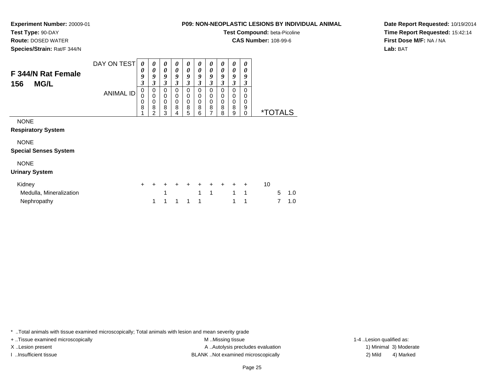# **Test Type:** 90-DAY

**Route:** DOSED WATER

**Species/Strain:** Rat/F 344/N

### **P09: NON-NEOPLASTIC LESIONS BY INDIVIDUAL ANIMAL**

**Test Compound:** beta-Picoline

**CAS Number:** 108-99-6

**Date Report Requested:** 10/19/2014**Time Report Requested:** 15:42:14**First Dose M/F:** NA / NA**Lab:** BAT

| F 344/N Rat Female<br><b>MG/L</b><br>156    | DAY ON TEST<br><b>ANIMAL ID</b> | 0<br>0<br>9<br>$\boldsymbol{\beta}$<br>$\pmb{0}$<br>0<br>0 | 0<br>$\boldsymbol{\theta}$<br>9<br>3<br>0<br>0<br>0 | 0<br>0<br>9<br>$\mathfrak{z}$<br>0<br>0<br>$\mathbf 0$ | 0<br>0<br>9<br>3<br>$\mathbf 0$<br>0<br>$\mathbf 0$ | 0<br>$\boldsymbol{\theta}$<br>9<br>3<br>0<br>0<br>0 | 0<br>0<br>9<br>3<br>0<br>0<br>0 | 0<br>0<br>9<br>3<br>0<br>0<br>0 | 0<br>$\boldsymbol{\theta}$<br>9<br>$\mathfrak{z}$<br>0<br>0<br>$\mathbf 0$ | 0<br>0<br>9<br>3<br>0<br>0<br>$\mathbf 0$ | 0<br>0<br>9<br>3<br>0<br>0<br>$\mathbf 0$ |    |                       |     |  |
|---------------------------------------------|---------------------------------|------------------------------------------------------------|-----------------------------------------------------|--------------------------------------------------------|-----------------------------------------------------|-----------------------------------------------------|---------------------------------|---------------------------------|----------------------------------------------------------------------------|-------------------------------------------|-------------------------------------------|----|-----------------------|-----|--|
|                                             |                                 | 8                                                          | 8<br>2                                              | 8<br>3                                                 | 8<br>4                                              | 8<br>5                                              | 8<br>6                          | 8<br>7                          | 8<br>8                                                                     | 8<br>9                                    | 9<br>$\mathbf 0$                          |    | <i><b>*TOTALS</b></i> |     |  |
| <b>NONE</b><br><b>Respiratory System</b>    |                                 |                                                            |                                                     |                                                        |                                                     |                                                     |                                 |                                 |                                                                            |                                           |                                           |    |                       |     |  |
| <b>NONE</b><br><b>Special Senses System</b> |                                 |                                                            |                                                     |                                                        |                                                     |                                                     |                                 |                                 |                                                                            |                                           |                                           |    |                       |     |  |
| <b>NONE</b><br><b>Urinary System</b>        |                                 |                                                            |                                                     |                                                        |                                                     |                                                     |                                 |                                 |                                                                            |                                           |                                           |    |                       |     |  |
| Kidney                                      |                                 | +                                                          |                                                     |                                                        |                                                     | $\ddot{}$                                           | $\ddot{}$                       | $\ddot{}$                       | $\ddot{}$                                                                  | $\ddot{}$                                 | $\ddot{}$                                 | 10 |                       |     |  |
| Medulla, Mineralization                     |                                 |                                                            |                                                     |                                                        |                                                     |                                                     | 1                               | 1                               |                                                                            | 1                                         | 1                                         |    | 5                     | 1.0 |  |
| Nephropathy                                 |                                 |                                                            | 1                                                   | 1                                                      | 1                                                   | 1                                                   | 1                               |                                 |                                                                            | 1                                         | 1                                         |    |                       | 1.0 |  |

\* ..Total animals with tissue examined microscopically; Total animals with lesion and mean severity grade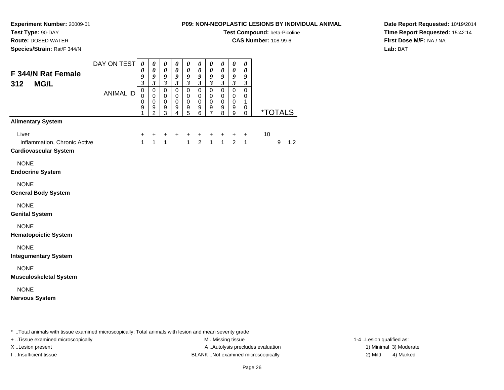**Test Type:** 90-DAY

**Route:** DOSED WATER

**Species/Strain:** Rat/F 344/N

#### **P09: NON-NEOPLASTIC LESIONS BY INDIVIDUAL ANIMAL**

**Test Compound:** beta-Picoline

**CAS Number:** 108-99-6

**Date Report Requested:** 10/19/2014**Time Report Requested:** 15:42:14**First Dose M/F:** NA / NA**Lab:** BAT

| Liver<br>10<br>$\ddot{}$<br>$\ddot{}$<br>+<br>$\ddot{}$<br>+<br>+<br>+<br>+<br>+<br>$\ddot{}$<br>$\overline{1}$<br>1 <sup>1</sup><br>1<br>$\overline{1}$<br>$\overline{2}$<br>$\mathbf{1}$<br>$\overline{2}$<br>$\mathbf{1}$<br>Inflammation, Chronic Active<br>$\mathbf{1}$<br>9<br>1.2<br><b>Cardiovascular System</b><br><b>NONE</b><br><b>Endocrine System</b><br><b>NONE</b><br><b>General Body System</b><br><b>NONE</b><br><b>Genital System</b><br><b>NONE</b><br><b>Hematopoietic System</b><br><b>NONE</b><br><b>Integumentary System</b><br><b>NONE</b><br><b>Musculoskeletal System</b><br><b>NONE</b> | F 344/N Rat Female<br><b>MG/L</b><br>312          | DAY ON TEST<br><b>ANIMAL ID</b> | $\boldsymbol{\theta}$<br>0<br>9<br>$\mathfrak{z}$<br>$\,0\,$<br>$\mathbf 0$<br>0<br>$\boldsymbol{9}$<br>1 | 0<br>$\pmb{\theta}$<br>9<br>$\overline{\mathbf{3}}$<br>$\pmb{0}$<br>$\pmb{0}$<br>0<br>$\frac{9}{2}$ | $\boldsymbol{\theta}$<br>$\boldsymbol{\theta}$<br>9<br>$\mathfrak{z}$<br>$\mathbf 0$<br>$\mathbf 0$<br>$\mathbf 0$<br>9<br>3 | $\pmb{\theta}$<br>$\boldsymbol{\theta}$<br>9<br>$\mathfrak{z}$<br>$\mathbf 0$<br>$\mathbf 0$<br>0<br>9<br>$\overline{4}$ | 0<br>$\boldsymbol{\theta}$<br>9<br>$\mathfrak{z}$<br>$\pmb{0}$<br>$\mathbf 0$<br>0<br>9<br>5 | $\pmb{\theta}$<br>$\boldsymbol{\theta}$<br>9<br>$\mathfrak{z}$<br>0<br>$\mathbf 0$<br>0<br>9<br>6 | $\boldsymbol{\theta}$<br>$\boldsymbol{\theta}$<br>9<br>$\mathfrak{z}$<br>$\pmb{0}$<br>0<br>0<br>9<br>$\overline{7}$ | $\boldsymbol{\theta}$<br>$\boldsymbol{\theta}$<br>9<br>$\mathfrak{z}$<br>$\pmb{0}$<br>$\mathbf 0$<br>0<br>$\boldsymbol{9}$<br>8 | $\boldsymbol{\theta}$<br>$\boldsymbol{\theta}$<br>$\boldsymbol{9}$<br>$\mathfrak{z}$<br>$\mathsf{O}\xspace$<br>$\mathbf 0$<br>$\mathbf 0$<br>9<br>9 | 0<br>0<br>9<br>$\boldsymbol{\beta}$<br>$\pmb{0}$<br>$\mathbf 0$<br>1<br>0<br>0 | <i><b>*TOTALS</b></i> |  |
|--------------------------------------------------------------------------------------------------------------------------------------------------------------------------------------------------------------------------------------------------------------------------------------------------------------------------------------------------------------------------------------------------------------------------------------------------------------------------------------------------------------------------------------------------------------------------------------------------------------------|---------------------------------------------------|---------------------------------|-----------------------------------------------------------------------------------------------------------|-----------------------------------------------------------------------------------------------------|------------------------------------------------------------------------------------------------------------------------------|--------------------------------------------------------------------------------------------------------------------------|----------------------------------------------------------------------------------------------|---------------------------------------------------------------------------------------------------|---------------------------------------------------------------------------------------------------------------------|---------------------------------------------------------------------------------------------------------------------------------|-----------------------------------------------------------------------------------------------------------------------------------------------------|--------------------------------------------------------------------------------|-----------------------|--|
|                                                                                                                                                                                                                                                                                                                                                                                                                                                                                                                                                                                                                    | <b>Alimentary System</b><br><b>Nervous System</b> |                                 |                                                                                                           |                                                                                                     |                                                                                                                              |                                                                                                                          |                                                                                              |                                                                                                   |                                                                                                                     |                                                                                                                                 |                                                                                                                                                     |                                                                                |                       |  |

\* ..Total animals with tissue examined microscopically; Total animals with lesion and mean severity grade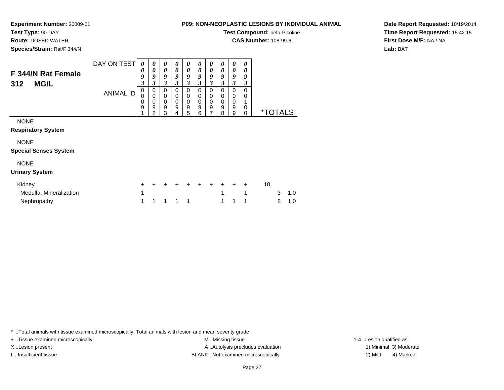# **Test Type:** 90-DAY

**Route:** DOSED WATER

**Species/Strain:** Rat/F 344/N

### **P09: NON-NEOPLASTIC LESIONS BY INDIVIDUAL ANIMAL**

**Test Compound:** beta-Picoline

**CAS Number:** 108-99-6

**Date Report Requested:** 10/19/2014**Time Report Requested:** 15:42:15**First Dose M/F:** NA / NA**Lab:** BAT

| DAY ON TEST<br><b>ANIMAL ID</b> | 0<br>0<br>9<br>3<br>0<br>0 | 0<br>0<br>9<br>3<br>0<br>0             | 0<br>0<br>9<br>$\boldsymbol{\beta}$<br>0<br>0 | 0<br>0<br>9<br>3<br>0<br>0 | 0<br>0<br>9<br>3<br>0      | 0<br>0<br>9<br>3<br>0<br>0 | 0<br>0<br>9<br>3<br>0<br>0 | 0<br>0<br>9<br>3<br>0<br>0 | 0<br>0<br>9<br>3<br>0<br>0 | 0<br>0<br>9<br>3<br>$\Omega$<br>0 |    |   |                       |
|---------------------------------|----------------------------|----------------------------------------|-----------------------------------------------|----------------------------|----------------------------|----------------------------|----------------------------|----------------------------|----------------------------|-----------------------------------|----|---|-----------------------|
|                                 | 0<br>9                     | 0<br>$\boldsymbol{9}$<br>$\mathcal{P}$ | 0<br>9<br>3                                   | 0<br>9<br>4                | $\boldsymbol{0}$<br>9<br>5 | 0<br>9<br>6                | 0<br>9<br>$\overline{7}$   | 0<br>9<br>8                | 0<br>9<br>9                | $\Omega$<br>0                     |    |   |                       |
|                                 |                            |                                        |                                               |                            |                            |                            |                            |                            |                            |                                   |    |   |                       |
|                                 |                            |                                        |                                               |                            |                            |                            |                            |                            |                            |                                   |    |   |                       |
|                                 |                            |                                        |                                               |                            |                            |                            |                            |                            |                            |                                   |    |   |                       |
|                                 |                            |                                        |                                               |                            |                            |                            |                            |                            |                            |                                   |    |   |                       |
|                                 |                            |                                        |                                               |                            |                            |                            |                            |                            |                            |                                   |    |   |                       |
|                                 |                            |                                        |                                               |                            |                            |                            |                            |                            |                            |                                   |    |   |                       |
|                                 | +                          |                                        |                                               |                            |                            |                            |                            |                            | $\div$                     |                                   | 10 |   |                       |
|                                 | 1                          |                                        |                                               |                            |                            |                            |                            | 1                          |                            |                                   |    | 3 | 1.0                   |
|                                 | 1                          | 1                                      | 1                                             |                            | 1                          |                            |                            |                            |                            | 1                                 |    | 8 | 1.0                   |
|                                 |                            |                                        |                                               |                            |                            | 0                          |                            |                            |                            |                                   |    |   | <i><b>*TOTALS</b></i> |

\* ..Total animals with tissue examined microscopically; Total animals with lesion and mean severity grade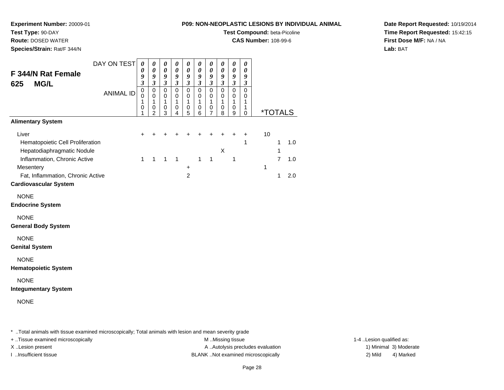**Experiment Number:** 20009-01

**Test Type:** 90-DAY

**Route:** DOSED WATER

**Species/Strain:** Rat/F 344/N

**Test Compound:** beta-Picoline

**CAS Number:** 108-99-6

**Date Report Requested:** 10/19/2014**Time Report Requested:** 15:42:15**First Dose M/F:** NA / NA**Lab:** BAT

| F 344/N Rat Female<br><b>MG/L</b><br>625                                | DAY ON TEST      | 0<br>0<br>9<br>$\overline{\mathbf{3}}$ | 0<br>$\boldsymbol{\theta}$<br>9<br>$\mathfrak{z}$ | 0<br>$\boldsymbol{\theta}$<br>9<br>$\mathfrak{z}$ | 0<br>$\boldsymbol{\theta}$<br>$\boldsymbol{g}$<br>$\mathfrak{z}$ | 0<br>$\pmb{\theta}$<br>$\boldsymbol{g}$<br>$\mathfrak{z}$ | 0<br>$\boldsymbol{\theta}$<br>$\boldsymbol{g}$<br>$\mathfrak{z}$ | 0<br>$\pmb{\theta}$<br>9<br>$\mathfrak{z}$ | 0<br>$\boldsymbol{\theta}$<br>9<br>$\mathfrak{z}$ | $\pmb{\theta}$<br>$\pmb{\theta}$<br>$\boldsymbol{g}$<br>$\overline{\mathbf{3}}$ | 0<br>$\boldsymbol{\theta}$<br>$\boldsymbol{g}$<br>$\mathfrak{z}$ |              |                   |                       |
|-------------------------------------------------------------------------|------------------|----------------------------------------|---------------------------------------------------|---------------------------------------------------|------------------------------------------------------------------|-----------------------------------------------------------|------------------------------------------------------------------|--------------------------------------------|---------------------------------------------------|---------------------------------------------------------------------------------|------------------------------------------------------------------|--------------|-------------------|-----------------------|
|                                                                         | <b>ANIMAL ID</b> | $\mathbf 0$<br>0<br>1<br>0<br>1        | $\mathbf 0$<br>0<br>1<br>0<br>$\overline{2}$      | $\pmb{0}$<br>0<br>$\mathbf{1}$<br>0<br>3          | $\mathsf 0$<br>0<br>1<br>0<br>4                                  | $\pmb{0}$<br>0<br>$\mathbf{1}$<br>0<br>5                  | $\pmb{0}$<br>0<br>1<br>0<br>6                                    | $\pmb{0}$<br>0<br>1<br>0<br>7              | $\mathbf 0$<br>0<br>1<br>0<br>8                   | $\pmb{0}$<br>0<br>$\mathbf{1}$<br>$\pmb{0}$<br>9                                | $\mathbf 0$<br>0<br>1<br>1<br>$\mathbf 0$                        |              |                   | <i><b>*TOTALS</b></i> |
| <b>Alimentary System</b>                                                |                  |                                        |                                                   |                                                   |                                                                  |                                                           |                                                                  |                                            |                                                   |                                                                                 |                                                                  |              |                   |                       |
| Liver<br>Hematopoietic Cell Proliferation<br>Hepatodiaphragmatic Nodule |                  |                                        |                                                   |                                                   |                                                                  |                                                           |                                                                  |                                            | X                                                 |                                                                                 | $\ddot{}$<br>1                                                   | 10           | 1<br>$\mathbf{1}$ | 1.0                   |
| Inflammation, Chronic Active<br>Mesentery                               |                  | $\mathbf{1}$                           | $\mathbf{1}$                                      | $\mathbf 1$                                       | $\mathbf{1}$                                                     | +                                                         | $\mathbf{1}$                                                     | $\mathbf{1}$                               |                                                   | $\mathbf{1}$                                                                    |                                                                  | $\mathbf{1}$ | $\overline{7}$    | 1.0                   |
| Fat, Inflammation, Chronic Active<br><b>Cardiovascular System</b>       |                  |                                        |                                                   |                                                   |                                                                  | $\overline{2}$                                            |                                                                  |                                            |                                                   |                                                                                 |                                                                  |              | $\mathbf{1}$      | 2.0                   |
| <b>NONE</b><br><b>Endocrine System</b>                                  |                  |                                        |                                                   |                                                   |                                                                  |                                                           |                                                                  |                                            |                                                   |                                                                                 |                                                                  |              |                   |                       |
| <b>NONE</b><br><b>General Body System</b>                               |                  |                                        |                                                   |                                                   |                                                                  |                                                           |                                                                  |                                            |                                                   |                                                                                 |                                                                  |              |                   |                       |
| <b>NONE</b><br><b>Genital System</b>                                    |                  |                                        |                                                   |                                                   |                                                                  |                                                           |                                                                  |                                            |                                                   |                                                                                 |                                                                  |              |                   |                       |
| <b>NONE</b><br><b>Hematopoietic System</b>                              |                  |                                        |                                                   |                                                   |                                                                  |                                                           |                                                                  |                                            |                                                   |                                                                                 |                                                                  |              |                   |                       |
| <b>NONE</b><br><b>Integumentary System</b>                              |                  |                                        |                                                   |                                                   |                                                                  |                                                           |                                                                  |                                            |                                                   |                                                                                 |                                                                  |              |                   |                       |
| <b>NONE</b>                                                             |                  |                                        |                                                   |                                                   |                                                                  |                                                           |                                                                  |                                            |                                                   |                                                                                 |                                                                  |              |                   |                       |

\* ..Total animals with tissue examined microscopically; Total animals with lesion and mean severity grade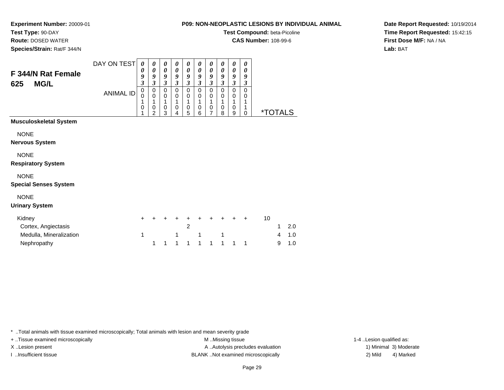**Experiment Number:** 20009-01**Test Type:** 90-DAY

**Route:** DOSED WATER

**Species/Strain:** Rat/F 344/N

| <b>NUNTILUE LASTIC LESIUNS DT INDIVIDUAL A</b> |  |
|------------------------------------------------|--|
| Test Compound: beta-Picoline                   |  |

**CAS Number:** 108-99-6

**Date Report Requested:** 10/19/2014**Time Report Requested:** 15:42:15**First Dose M/F:** NA / NA**Lab:** BAT

| F 344/N Rat Female<br>MG/L<br>625                                                | DAY ON TEST<br><b>ANIMAL ID</b> | 0<br>0<br>9<br>3<br>$\mathbf 0$<br>$\Omega$<br>1<br>0 | 0<br>$\boldsymbol{\theta}$<br>9<br>3<br>0<br>$\mathbf 0$<br>1<br>0<br>$\overline{2}$ | 0<br>0<br>9<br>3<br>$\mathbf 0$<br>0<br>1<br>$\mathbf 0$<br>3 | 0<br>$\pmb{\theta}$<br>9<br>3<br>0<br>0<br>1<br>0<br>4 | 0<br>$\boldsymbol{\theta}$<br>9<br>3<br>$\mathbf 0$<br>$\pmb{0}$<br>1<br>0<br>5 | 0<br>$\boldsymbol{\theta}$<br>9<br>$\mathfrak{z}$<br>$\mathbf 0$<br>$\mathbf 0$<br>1<br>$\mathbf 0$<br>6 | 0<br>$\boldsymbol{\theta}$<br>9<br>$\mathfrak{z}$<br>$\mathbf 0$<br>$\mathbf 0$<br>1<br>$\mathbf 0$<br>$\overline{7}$ | 0<br>0<br>9<br>3<br>$\mathbf 0$<br>$\pmb{0}$<br>1<br>$\mathbf 0$<br>8 | $\boldsymbol{\theta}$<br>$\boldsymbol{\theta}$<br>$\boldsymbol{g}$<br>$\mathfrak{z}$<br>$\mathbf 0$<br>$\pmb{0}$<br>1<br>$\mathbf 0$<br>$\boldsymbol{9}$ | 0<br>0<br>9<br>3<br>$\mathbf 0$<br>0<br>1<br>1<br>$\mathbf 0$ |    | <i><b>*TOTALS</b></i> |            |
|----------------------------------------------------------------------------------|---------------------------------|-------------------------------------------------------|--------------------------------------------------------------------------------------|---------------------------------------------------------------|--------------------------------------------------------|---------------------------------------------------------------------------------|----------------------------------------------------------------------------------------------------------|-----------------------------------------------------------------------------------------------------------------------|-----------------------------------------------------------------------|----------------------------------------------------------------------------------------------------------------------------------------------------------|---------------------------------------------------------------|----|-----------------------|------------|
| <b>Musculoskeletal System</b>                                                    |                                 |                                                       |                                                                                      |                                                               |                                                        |                                                                                 |                                                                                                          |                                                                                                                       |                                                                       |                                                                                                                                                          |                                                               |    |                       |            |
| <b>NONE</b><br><b>Nervous System</b><br><b>NONE</b><br><b>Respiratory System</b> |                                 |                                                       |                                                                                      |                                                               |                                                        |                                                                                 |                                                                                                          |                                                                                                                       |                                                                       |                                                                                                                                                          |                                                               |    |                       |            |
| <b>NONE</b><br><b>Special Senses System</b>                                      |                                 |                                                       |                                                                                      |                                                               |                                                        |                                                                                 |                                                                                                          |                                                                                                                       |                                                                       |                                                                                                                                                          |                                                               |    |                       |            |
| <b>NONE</b><br><b>Urinary System</b>                                             |                                 |                                                       |                                                                                      |                                                               |                                                        |                                                                                 |                                                                                                          |                                                                                                                       |                                                                       |                                                                                                                                                          |                                                               |    |                       |            |
| Kidney<br>Cortex, Angiectasis                                                    |                                 | $\div$                                                |                                                                                      |                                                               |                                                        | $\overline{2}$                                                                  |                                                                                                          |                                                                                                                       |                                                                       |                                                                                                                                                          | $\div$                                                        | 10 | 1                     | 2.0        |
| Medulla, Mineralization<br>Nephropathy                                           |                                 | 1                                                     | 1                                                                                    | 1                                                             | 1                                                      | 1                                                                               | 1<br>1                                                                                                   | 1                                                                                                                     | 1<br>$\mathbf{1}$                                                     | 1                                                                                                                                                        | 1                                                             |    | 4<br>9                | 1.0<br>1.0 |

\* ..Total animals with tissue examined microscopically; Total animals with lesion and mean severity grade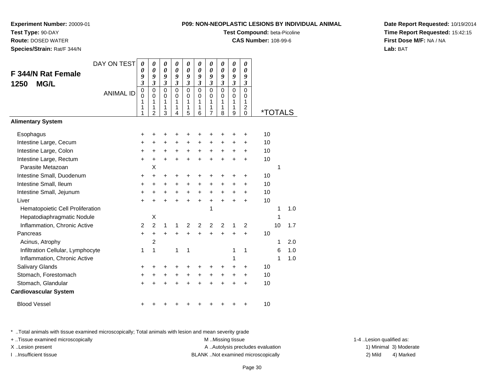**Test Compound:** beta-Picoline

**CAS Number:** 108-99-6

0 \*TOTALS

**Date Report Requested:** 10/19/2014**Time Report Requested:** 15:42:15**First Dose M/F:** NA / NA**Lab:** BAT

<sup>+</sup> <sup>+</sup> <sup>+</sup> <sup>+</sup> <sup>+</sup> <sup>+</sup> <sup>+</sup> <sup>+</sup> + 10

#### Intestine Large, Cecum <sup>+</sup> <sup>+</sup> <sup>+</sup> <sup>+</sup> <sup>+</sup> <sup>+</sup> <sup>+</sup> <sup>+</sup> <sup>+</sup> + 10 Intestine Large, Colon $\mathsf{n}$  + <sup>+</sup> <sup>+</sup> <sup>+</sup> <sup>+</sup> <sup>+</sup> <sup>+</sup> <sup>+</sup> <sup>+</sup> + 10 Intestine Large, Rectum <sup>+</sup> <sup>+</sup> <sup>+</sup> <sup>+</sup> <sup>+</sup> <sup>+</sup> <sup>+</sup> <sup>+</sup> <sup>+</sup> + 10 Parasite Metazoann X  $\mathsf{X}$  and  $\mathsf{Y}$  are the set of  $\mathsf{Y}$  and  $\mathsf{Y}$  are the set of  $\mathsf{Y}$  and  $\mathsf{Y}$  are the set of  $\mathsf{Y}$  and  $\mathsf{Y}$  are the set of  $\mathsf{Y}$  and  $\mathsf{Y}$  are the set of  $\mathsf{Y}$  and  $\mathsf{Y}$  are the set of Intestine Small, Duodenum <sup>+</sup> <sup>+</sup> <sup>+</sup> <sup>+</sup> <sup>+</sup> <sup>+</sup> <sup>+</sup> <sup>+</sup> <sup>+</sup> + 10 Intestine Small, Ileum <sup>+</sup> <sup>+</sup> <sup>+</sup> <sup>+</sup> <sup>+</sup> <sup>+</sup> <sup>+</sup> <sup>+</sup> <sup>+</sup> + 10 Intestine Small, Jejunum <sup>+</sup> <sup>+</sup> <sup>+</sup> <sup>+</sup> <sup>+</sup> <sup>+</sup> <sup>+</sup> <sup>+</sup> <sup>+</sup> + 10 Liver $\mathsf{r}$  + <sup>+</sup> <sup>+</sup> <sup>+</sup> <sup>+</sup> <sup>+</sup> <sup>+</sup> <sup>+</sup> <sup>+</sup> + 10 Hematopoietic Cell Proliferationn 1 1.0 Hepatodiaphragmatic Nodulee X  $\mathsf{X}$  and  $\mathsf{Y}$  are the set of  $\mathsf{Y}$  and  $\mathsf{Y}$  are the set of  $\mathsf{Y}$  and  $\mathsf{Y}$  are the set of  $\mathsf{Y}$  and  $\mathsf{Y}$  are the set of  $\mathsf{Y}$  and  $\mathsf{Y}$  are the set of  $\mathsf{Y}$  and  $\mathsf{Y}$  are the set of Inflammation, Chronic Activee 2 2 1 1 2 2 2 2 1 2 2 10 1.7 Pancreas <sup>+</sup> <sup>+</sup> <sup>+</sup> <sup>+</sup> <sup>+</sup> <sup>+</sup> <sup>+</sup> <sup>+</sup> <sup>+</sup> + 10 Acinus, Atrophy $\mathsf{y}$  2 <sup>1</sup> 2.0 Infiltration Cellular, Lymphocytee 1 1 1 1 1 1 1 1 1 1 1 6 1.0 Inflammation, Chronic Activee 1 1 1.0 Salivary Glands $\sim$   $\sim$   $\sim$   $\sim$   $\sim$   $\sim$  <sup>+</sup> <sup>+</sup> <sup>+</sup> <sup>+</sup> <sup>+</sup> <sup>+</sup> <sup>+</sup> <sup>+</sup> + 10 Stomach, Forestomach $h \rightarrow$  <sup>+</sup> <sup>+</sup> <sup>+</sup> <sup>+</sup> <sup>+</sup> <sup>+</sup> <sup>+</sup> <sup>+</sup> + 10 Stomach, Glandular $\mathsf{r}$  + <sup>+</sup> <sup>+</sup> <sup>+</sup> <sup>+</sup> <sup>+</sup> <sup>+</sup> <sup>+</sup> <sup>+</sup> + 10 **Cardiovascular System**Blood Vessel

DAY ON TEST

<sup>+</sup> <sup>+</sup> <sup>+</sup> <sup>+</sup> <sup>+</sup> <sup>+</sup> <sup>+</sup> <sup>+</sup> + 10

ANIMAL ID

 $\mathsf{S}$  +

<sup>+</sup>

\* ..Total animals with tissue examined microscopically; Total animals with lesion and mean severity grade

+ ..Tissue examined microscopically examined microscopically examined as: M ..Missing tissue 1-4 ..Lesion qualified as:

**Experiment Number:** 20009-01

**F 344/N Rat Female**

**Test Type:** 90-DAY **Route:** DOSED WATER**Species/Strain:** Rat/F 344/N

**1250 MG/L**

**Alimentary System**

**Esophagus**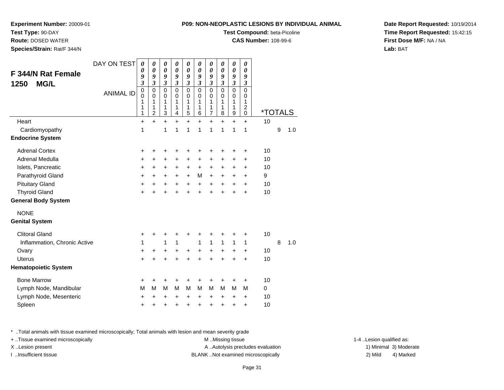**Test Compound:** beta-Picoline

**CAS Number:** 108-99-6

**Date Report Requested:** 10/19/2014**Time Report Requested:** 15:42:15**First Dose M/F:** NA / NA**Lab:** BAT

| F 344/N Rat Female           |                  | 0<br>9                                                               | 0<br>9                                                                            | 0<br>9                                                      | 0<br>9                                                      | 0<br>9                                                      | 0<br>9                                                      | 0<br>9                                                      | 0<br>9                                                      | 0<br>9                                                      | 0<br>9                                            |                       |   |     |
|------------------------------|------------------|----------------------------------------------------------------------|-----------------------------------------------------------------------------------|-------------------------------------------------------------|-------------------------------------------------------------|-------------------------------------------------------------|-------------------------------------------------------------|-------------------------------------------------------------|-------------------------------------------------------------|-------------------------------------------------------------|---------------------------------------------------|-----------------------|---|-----|
| <b>MG/L</b><br>1250          | <b>ANIMAL ID</b> | $\overline{\mathbf{3}}$<br>$\mathbf 0$<br>$\mathbf 0$<br>1<br>1<br>1 | $\overline{\mathbf{3}}$<br>$\mathbf 0$<br>$\mathbf 0$<br>1<br>1<br>$\overline{2}$ | $\mathfrak{z}$<br>$\mathbf 0$<br>$\mathbf 0$<br>1<br>1<br>3 | $\mathfrak{z}$<br>$\mathbf 0$<br>$\mathbf 0$<br>1<br>1<br>4 | $\mathfrak{z}$<br>$\mathbf 0$<br>$\mathbf 0$<br>1<br>1<br>5 | $\mathfrak{z}$<br>$\mathbf 0$<br>$\mathbf 0$<br>1<br>1<br>6 | $\mathfrak{z}$<br>$\mathbf 0$<br>$\mathbf 0$<br>1<br>1<br>7 | $\mathfrak{z}$<br>$\mathbf 0$<br>$\mathbf 0$<br>1<br>1<br>8 | $\mathfrak{z}$<br>$\mathbf 0$<br>$\mathbf 0$<br>1<br>1<br>9 | 3<br>$\mathbf 0$<br>0<br>1<br>$\overline{c}$<br>0 | <i><b>*TOTALS</b></i> |   |     |
| Heart                        |                  | $\ddot{}$                                                            | $\ddot{}$                                                                         | $+$                                                         | $\ddot{}$                                                   | $\ddot{}$                                                   | $+$                                                         | $\ddot{}$                                                   | $\ddot{}$                                                   | $\ddot{}$                                                   | $\ddot{}$                                         | 10                    |   |     |
| Cardiomyopathy               |                  | 1                                                                    |                                                                                   | 1                                                           | 1                                                           | 1                                                           | 1                                                           | 1                                                           | 1                                                           | 1                                                           | 1                                                 |                       | 9 | 1.0 |
| <b>Endocrine System</b>      |                  |                                                                      |                                                                                   |                                                             |                                                             |                                                             |                                                             |                                                             |                                                             |                                                             |                                                   |                       |   |     |
| <b>Adrenal Cortex</b>        |                  | +                                                                    | +                                                                                 | ٠                                                           | +                                                           | +                                                           | +                                                           | +                                                           | +                                                           | +                                                           | +                                                 | 10                    |   |     |
| Adrenal Medulla              |                  | +                                                                    | +                                                                                 | +                                                           | +                                                           | +                                                           | $\ddot{}$                                                   | +                                                           | +                                                           | +                                                           | +                                                 | 10                    |   |     |
| Islets, Pancreatic           |                  | +                                                                    | $\ddot{}$                                                                         | $\ddot{}$                                                   | $\ddot{}$                                                   | $\ddot{}$                                                   | $\ddot{}$                                                   | $\ddot{}$                                                   | +                                                           | +                                                           | $\pm$                                             | 10                    |   |     |
| Parathyroid Gland            |                  | +                                                                    | $\ddot{}$                                                                         | $\ddot{}$                                                   | $\ddot{}$                                                   | $\ddot{}$                                                   | M                                                           | $\ddot{}$                                                   | +                                                           | $\ddot{}$                                                   | $\ddot{}$                                         | 9                     |   |     |
| <b>Pituitary Gland</b>       |                  | +                                                                    | $\ddot{}$                                                                         | +                                                           | $\ddot{}$                                                   | $\ddot{}$                                                   | $\ddot{}$                                                   | $\ddot{}$                                                   | $\ddot{}$                                                   | +                                                           | $\ddot{}$                                         | 10                    |   |     |
| <b>Thyroid Gland</b>         |                  | $\ddot{}$                                                            | $\ddot{}$                                                                         | $\ddot{}$                                                   | $\ddot{}$                                                   | $\ddot{}$                                                   | $+$                                                         | $\ddot{}$                                                   | $+$                                                         | $\ddot{}$                                                   | $\ddot{}$                                         | 10                    |   |     |
| <b>General Body System</b>   |                  |                                                                      |                                                                                   |                                                             |                                                             |                                                             |                                                             |                                                             |                                                             |                                                             |                                                   |                       |   |     |
| <b>NONE</b>                  |                  |                                                                      |                                                                                   |                                                             |                                                             |                                                             |                                                             |                                                             |                                                             |                                                             |                                                   |                       |   |     |
| <b>Genital System</b>        |                  |                                                                      |                                                                                   |                                                             |                                                             |                                                             |                                                             |                                                             |                                                             |                                                             |                                                   |                       |   |     |
| <b>Clitoral Gland</b>        |                  | +                                                                    | +                                                                                 | +                                                           | +                                                           | +                                                           | +                                                           | +                                                           | +                                                           | +                                                           | +                                                 | 10                    |   |     |
| Inflammation, Chronic Active |                  | 1                                                                    |                                                                                   | 1                                                           | 1                                                           |                                                             | $\mathbf{1}$                                                | 1                                                           | 1                                                           | 1                                                           | 1                                                 |                       | 8 | 1.0 |
| Ovary                        |                  | +                                                                    | $\ddot{}$                                                                         | $\ddot{}$                                                   | $\ddot{}$                                                   | $\ddot{}$                                                   | $\ddot{}$                                                   | $\ddot{}$                                                   | $\ddot{}$                                                   | $\ddot{}$                                                   | $\ddot{}$                                         | 10                    |   |     |
| <b>Uterus</b>                |                  | $\ddot{}$                                                            | $\ddot{}$                                                                         | $\ddot{}$                                                   | $\ddot{}$                                                   | $\ddot{}$                                                   | $+$                                                         | $\ddot{}$                                                   | $\ddot{}$                                                   | $\ddot{}$                                                   | $\ddot{}$                                         | 10                    |   |     |
| <b>Hematopoietic System</b>  |                  |                                                                      |                                                                                   |                                                             |                                                             |                                                             |                                                             |                                                             |                                                             |                                                             |                                                   |                       |   |     |
| <b>Bone Marrow</b>           |                  | ٠                                                                    | $\ddot{}$                                                                         | ÷                                                           | ÷                                                           | ÷                                                           | ÷                                                           | ٠                                                           | ٠                                                           | +                                                           | $\ddot{}$                                         | 10                    |   |     |
| Lymph Node, Mandibular       |                  | M                                                                    | M                                                                                 | M                                                           | M                                                           | M                                                           | M                                                           | M                                                           | M                                                           | M                                                           | M                                                 | 0                     |   |     |
| Lymph Node, Mesenteric       |                  | +                                                                    | +                                                                                 | +                                                           | +                                                           | +                                                           | +                                                           | +                                                           | +                                                           | +                                                           | +                                                 | 10                    |   |     |
| Spleen                       |                  | +                                                                    | +                                                                                 | $\ddot{}$                                                   | $\ddot{}$                                                   | $\ddot{}$                                                   | $\ddot{}$                                                   | $\ddot{}$                                                   | $\ddot{}$                                                   | $\ddot{}$                                                   | $\ddot{}$                                         | 10                    |   |     |
|                              |                  |                                                                      |                                                                                   |                                                             |                                                             |                                                             |                                                             |                                                             |                                                             |                                                             |                                                   |                       |   |     |

DAY ON TEST*0000000000*

**Experiment Number:** 20009-01

**Test Type:** 90-DAY **Route:** DOSED WATER**Species/Strain:** Rat/F 344/N

\* ..Total animals with tissue examined microscopically; Total animals with lesion and mean severity grade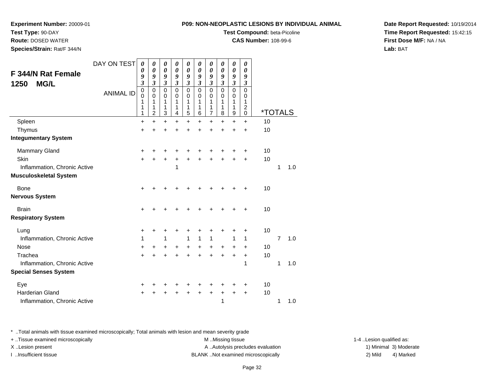## **Test Type:** 90-DAY

**Route:** DOSED WATER

**Species/Strain:** Rat/F 344/N

#### **P09: NON-NEOPLASTIC LESIONS BY INDIVIDUAL ANIMAL**

## **Test Compound:** beta-Picoline

**CAS Number:** 108-99-6

**Date Report Requested:** 10/19/2014**Time Report Requested:** 15:42:15**First Dose M/F:** NA / NA**Lab:** BAT

|                               | DAY ON TEST      | 0                       | 0                          | 0                          | 0                           | 0                          | 0              | 0                          | $\boldsymbol{\theta}$   | 0                          | 0                          |                       |                |     |
|-------------------------------|------------------|-------------------------|----------------------------|----------------------------|-----------------------------|----------------------------|----------------|----------------------------|-------------------------|----------------------------|----------------------------|-----------------------|----------------|-----|
| F 344/N Rat Female            |                  | 0<br>9                  | $\boldsymbol{\theta}$<br>9 | $\boldsymbol{\theta}$<br>9 | $\pmb{\theta}$<br>9         | $\boldsymbol{\theta}$<br>9 | 0<br>9         | $\boldsymbol{\theta}$<br>9 | $\pmb{\theta}$<br>9     | 0<br>9                     | $\boldsymbol{\theta}$<br>9 |                       |                |     |
| <b>MG/L</b><br>1250           |                  | $\mathfrak{z}$          | $\overline{\mathbf{3}}$    | $\mathfrak{z}$             | $\boldsymbol{\mathfrak{z}}$ | $\mathfrak{z}$             | $\mathfrak{z}$ | $\mathfrak{z}$             | $\mathfrak{z}$          | $\mathfrak{z}$             | $\boldsymbol{\beta}$       |                       |                |     |
|                               | <b>ANIMAL ID</b> | $\mathbf 0$<br>$\Omega$ | $\mathbf 0$<br>$\mathbf 0$ | $\mathbf 0$<br>0           | $\mathbf 0$<br>$\Omega$     | $\mathbf 0$<br>$\mathbf 0$ | 0<br>$\Omega$  | $\mathbf 0$<br>0           | $\mathbf 0$<br>$\Omega$ | $\mathbf 0$<br>$\mathbf 0$ | $\mathbf 0$<br>0           |                       |                |     |
|                               |                  | 1                       | 1                          | 1                          | 1                           | 1                          | 1              | 1                          | 1                       | 1                          | 1                          |                       |                |     |
|                               |                  | 1<br>1                  | 1<br>$\overline{2}$        | 1<br>3                     | 1<br>4                      | 1<br>5                     | 1<br>6         | 1<br>7                     | 1<br>8                  | 1<br>9                     | $\overline{c}$<br>0        | <i><b>*TOTALS</b></i> |                |     |
| Spleen                        |                  | $\ddot{}$               | $\ddot{}$                  | $\ddot{}$                  | $\ddot{}$                   | $\ddot{}$                  | $\ddot{}$      | $\ddot{}$                  | $\ddot{}$               | $\ddot{}$                  | $\ddot{}$                  | 10                    |                |     |
| Thymus                        |                  | $\ddot{}$               | +                          | +                          |                             | +                          |                |                            |                         |                            | +                          | 10                    |                |     |
| <b>Integumentary System</b>   |                  |                         |                            |                            |                             |                            |                |                            |                         |                            |                            |                       |                |     |
| <b>Mammary Gland</b>          |                  | $\ddot{}$               | +                          | +                          | ٠                           | +                          | +              |                            |                         |                            | ٠                          | 10                    |                |     |
| Skin                          |                  | +                       | +                          | +                          | +                           | +                          | +              | +                          |                         | $\ddot{}$                  | $\ddot{}$                  | 10                    |                |     |
| Inflammation, Chronic Active  |                  |                         |                            |                            | 1                           |                            |                |                            |                         |                            |                            |                       | 1              | 1.0 |
| <b>Musculoskeletal System</b> |                  |                         |                            |                            |                             |                            |                |                            |                         |                            |                            |                       |                |     |
| <b>Bone</b>                   |                  | +                       |                            |                            |                             |                            |                |                            |                         |                            |                            | 10                    |                |     |
| <b>Nervous System</b>         |                  |                         |                            |                            |                             |                            |                |                            |                         |                            |                            |                       |                |     |
| <b>Brain</b>                  |                  | +                       |                            |                            |                             |                            |                |                            |                         |                            | +                          | 10                    |                |     |
| <b>Respiratory System</b>     |                  |                         |                            |                            |                             |                            |                |                            |                         |                            |                            |                       |                |     |
| Lung                          |                  | +                       | +                          |                            |                             | +                          |                |                            |                         |                            | ٠                          | 10                    |                |     |
| Inflammation, Chronic Active  |                  | 1                       |                            | 1                          |                             | 1                          | 1              | 1                          |                         | 1                          | 1                          |                       | $\overline{7}$ | 1.0 |
| <b>Nose</b>                   |                  | +                       | +                          | +                          | +                           | +                          | +              | +                          | +                       | +                          | +                          | 10                    |                |     |
| Trachea                       |                  | $\ddot{}$               | +                          | $\ddot{}$                  | +                           | $\ddot{}$                  | $\ddot{}$      | $\ddot{}$                  | $\ddot{}$               | $\ddot{}$                  | $\ddot{}$                  | 10                    |                |     |
| Inflammation, Chronic Active  |                  |                         |                            |                            |                             |                            |                |                            |                         |                            | 1                          |                       | 1              | 1.0 |
| <b>Special Senses System</b>  |                  |                         |                            |                            |                             |                            |                |                            |                         |                            |                            |                       |                |     |
| Eye                           |                  | +                       | ٠                          |                            |                             |                            |                |                            |                         |                            | ٠                          | 10                    |                |     |
| <b>Harderian Gland</b>        |                  | +                       |                            |                            |                             | +                          | ÷              | +                          | +                       | +                          | +                          | 10                    |                |     |
| Inflammation, Chronic Active  |                  |                         |                            |                            |                             |                            |                |                            | 1                       |                            |                            |                       | 1              | 1.0 |

\* ..Total animals with tissue examined microscopically; Total animals with lesion and mean severity grade

+ ..Tissue examined microscopically M ...Missing tissue 1-4 ... M ...Missing tissue X..Lesion present **A ..Autolysis precludes evaluation** A ..Autolysis precludes evaluation 1) Minimal 3) Moderate I ..Insufficient tissue BLANK ..Not examined microscopically 2) Mild 4) Marked

1-4 ..Lesion qualified as: